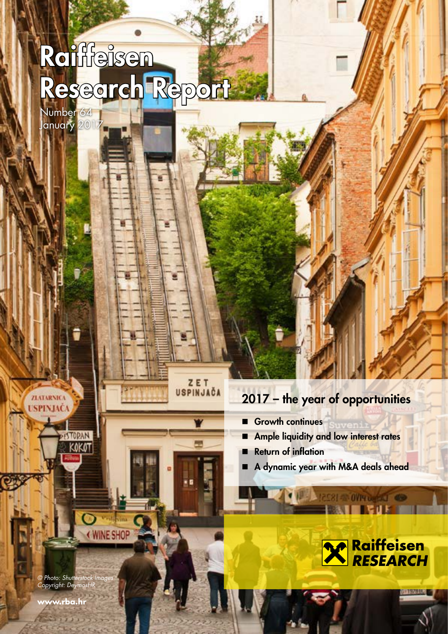# Raimeisen Research Report

Number 64 January 2017

# 2017 – the year of opportunities

**Growth continues** 

ZET USPINJAČA

- Ample liquidity and low interest rates
- Return of inflation
- A dynamic year with M&A deals ahead

**OF LESS 400 40 18251 (B)** 



© Photo: Shutterstock Images Copyright: DeymosHR

D)

WINE SHOP

**ESTORAN** KOKOT

**www.rba.hr**

**ZLATARNICA** USPINJAČA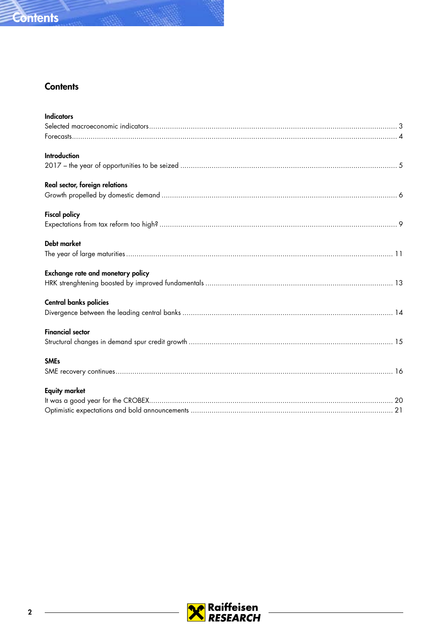

# **Contents**

| <b>Indicators</b>                        |
|------------------------------------------|
|                                          |
|                                          |
| <b>Introduction</b>                      |
|                                          |
| Real sector, foreign relations           |
|                                          |
| <b>Fiscal policy</b>                     |
|                                          |
| <b>Debt market</b>                       |
|                                          |
| <b>Exchange rate and monetary policy</b> |
|                                          |
| <b>Central banks policies</b>            |
|                                          |
| <b>Financial sector</b>                  |
|                                          |
| <b>SMEs</b>                              |
|                                          |
| <b>Equity market</b>                     |
|                                          |
|                                          |

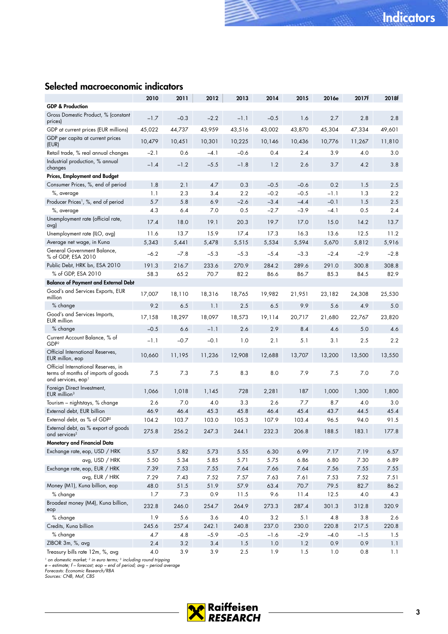# <span id="page-2-0"></span>Selected macroeconomic indicators

|                                                                                                              | 2010   | 2011    | 2012   | 2013    | 2014   | 2015   | 2016e  | 2017f  | 2018f  |
|--------------------------------------------------------------------------------------------------------------|--------|---------|--------|---------|--------|--------|--------|--------|--------|
| <b>GDP &amp; Production</b>                                                                                  |        |         |        |         |        |        |        |        |        |
| Gross Domestic Product, % (constant<br>prices)                                                               | $-1.7$ | $-0.3$  | $-2.2$ | $-1.1$  | $-0.5$ | 1.6    | 2.7    | 2.8    | 2.8    |
| GDP at current prices (EUR millions)                                                                         | 45,022 | 44,737  | 43,959 | 43,516  | 43,002 | 43,870 | 45,304 | 47,334 | 49,601 |
| GDP per capita at current prices<br>(EUR)                                                                    | 10,479 | 10,451  | 10,301 | 10,225  | 10,146 | 10,436 | 10,776 | 11,267 | 11,810 |
| Retail trade, % real annual changes                                                                          | $-2.1$ | 0.6     | -4.1   | $-0.6$  | 0.4    | 2.4    | 3.9    | 4.0    | 3.0    |
| Industrial production, % annual<br>changes                                                                   | $-1.4$ | $-1.2$  | $-5.5$ | $-1.8$  | 1.2    | 2.6    | 3.7    | 4.2    | 3.8    |
| <b>Prices, Employment and Budget</b>                                                                         |        |         |        |         |        |        |        |        |        |
| Consumer Prices, %, end of period                                                                            | 1.8    | 2.1     | 4.7    | 0.3     | $-0.5$ | $-0.6$ | 0.2    | 1.5    | 2.5    |
| %, average                                                                                                   | 1.1    | 2.3     | 3.4    | 2.2     | $-0.2$ | $-0.5$ | -1.1   | 1.3    | 2.2    |
| Producer Prices <sup>1</sup> , %, end of period                                                              | 5.7    | 5.8     | 6.9    | $-2.6$  | $-3.4$ | $-4.4$ | $-0.1$ | 1.5    | 2.5    |
| %, average                                                                                                   | 4.3    | 6.4     | 7.0    | 0.5     | $-2.7$ | $-3.9$ | -4.1   | 0.5    | 2.4    |
| Unemployment rate (official rate,<br>avg)                                                                    | 17.4   | 18.0    | 19.1   | 20.3    | 19.7   | 17.0   | 15.0   | 14.2   | 13.7   |
| Unemployment rate (ILO, avg)                                                                                 | 11.6   | 13.7    | 15.9   | 17.4    | 17.3   | 16.3   | 13.6   | 12.5   | 11.2   |
| Average net wage, in Kuna                                                                                    | 5,343  | 5,441   | 5,478  | 5,515   | 5,534  | 5,594  | 5,670  | 5,812  | 5,916  |
| General Government Balance,<br>% of GDP, ESA 2010                                                            | $-6.2$ | $-7.8$  | $-5.3$ | $-5.3$  | $-5.4$ | $-3.3$ | $-2.4$ | $-2.9$ | $-2.8$ |
| Public Debt, HRK bn, ESA 2010                                                                                | 191.3  | 216.7   | 233.6  | 270.9   | 284.2  | 289.6  | 291.0  | 300.8  | 308.8  |
| % of GDP, ESA 2010                                                                                           | 58.3   | 65.2    | 70.7   | 82.2    | 86.6   | 86.7   | 85.3   | 84.5   | 82.9   |
| <b>Balance of Payment and External Debt</b>                                                                  |        |         |        |         |        |        |        |        |        |
| Good's and Services Exports, EUR<br>million                                                                  | 17,007 | 18,110  | 18,316 | 18,765  | 19,982 | 21,951 | 23,182 | 24,308 | 25,530 |
| % change                                                                                                     | 9.2    | 6.5     | 1.1    | 2.5     | 6.5    | 9.9    | 5.6    | 4.9    | 5.0    |
| Good's and Services Imports,<br>EUR million                                                                  | 17,158 | 18,297  | 18,097 | 18,573  | 19,114 | 20,717 | 21,680 | 22,767 | 23,820 |
| % change                                                                                                     | $-0.5$ | 6.6     | $-1.1$ | 2.6     | 2.9    | 8.4    | 4.6    | 5.0    | 4.6    |
| Current Account Balance, % of<br>GDP <sup>2</sup>                                                            | $-1.1$ | $-0.7$  | $-0.1$ | 1.0     | 2.1    | 5.1    | 3.1    | 2.5    | 2.2    |
| Official International Reserves,<br>EUR millon, eop                                                          | 10,660 | 11,195  | 11,236 | 12,908  | 12,688 | 13,707 | 13,200 | 13,500 | 13,550 |
| Official International Reserves, in<br>terms of months of imports of goods<br>and services, eop <sup>1</sup> | 7.5    | 7.3     | 7.5    | 8.3     | 8.0    | 7.9    | 7.5    | 7.0    | 7.0    |
| Foreign Direct Investment,<br>$EUR$ million <sup>3</sup>                                                     | 1,066  | 1,018   | 1,145  | 728     | 2,281  | 187    | 1,000  | 1,300  | 1,800  |
| Tourism - nightstays, % change                                                                               | 2.6    | 7.0     | 4.0    | 3.3     | 2.6    | 7.7    | 8.7    | 4.0    | 3.0    |
| External debt, EUR billion                                                                                   | 46.9   | 46.4    | 45.3   | 45.8    | 46.4   | 45.4   | 43.7   | 44.5   | 45.4   |
| External debt, as % of GDP <sup>2</sup>                                                                      | 104.2  | 103.7   | 103.0  | 105.3   | 107.9  | 103.4  | 96.5   | 94.0   | 91.5   |
| External debt, as % export of goods<br>and services <sup>2</sup>                                             | 275.8  | 256.2   | 247.3  | 244.1   | 232.3  | 206.8  | 188.5  | 183.1  | 177.8  |
| Monetary and Financial Data                                                                                  |        |         |        |         |        |        |        |        |        |
| Exchange rate, eop, USD / HRK                                                                                | 5.57   | 5.82    | 5.73   | 5.55    | 6.30   | 6.99   | 7.17   | 7.19   | 6.57   |
| avg, USD / HRK                                                                                               | 5.50   | 5.34    | 5.85   | 5.71    | 5.75   | 6.86   | 6.80   | 7.30   | 6.89   |
| Exchange rate, eop, EUR / HRK                                                                                | 7.39   | 7.53    | 7.55   | 7.64    | 7.66   | 7.64   | 7.56   | 7.55   | 7.55   |
| avg, EUR / HRK                                                                                               | 7.29   | 7.43    | 7.52   | 7.57    | 7.63   | 7.61   | 7.53   | 7.52   | 7.51   |
| Money (M1), Kuna billion, eop                                                                                | 48.0   | 51.5    | 51.9   | 57.9    | 63.4   | 70.7   | 79.5   | 82.7   | 86.2   |
| % change                                                                                                     | 1.7    | 7.3     | 0.9    | 11.5    | 9.6    | 11.4   | 12.5   | 4.0    | 4.3    |
| Broadest money (M4), Kuna billion,<br>eop                                                                    | 232.8  | 246.0   | 254.7  | 264.9   | 273.3  | 287.4  | 301.3  | 312.8  | 320.9  |
| % change                                                                                                     | 1.9    | 5.6     | 3.6    | 4.0     | 3.2    | 5.1    | 4.8    | 3.8    | 2.6    |
| Credits, Kuna billion                                                                                        | 245.6  | 257.4   | 242.1  | 240.8   | 237.0  | 230.0  | 220.8  | 217.5  | 220.8  |
| % change                                                                                                     | 4.7    | 4.8     | $-5.9$ | $-0.5$  | $-1.6$ | $-2.9$ | $-4.0$ | $-1.5$ | 1.5    |
| ZIBOR 3m, %, avg                                                                                             | 2.4    | $3.2\,$ | 3.4    | 1.5     | 1.0    | 1.2    | 0.9    | 0.9    | 1.1    |
| Treasury bills rate 12m, %, avg                                                                              | 4.0    | 3.9     | 3.9    | $2.5\,$ | 1.9    | 1.5    | 1.0    | 0.8    | 1.1    |

<sup>1</sup> on domestic market; <sup>2</sup> in euro terms; <sup>3</sup> including round tripping<br>e – estimate; f – forecast; eop – end of period; avg – period average<br>Forecasts: Economic Research/RBA<br>Sources: CNB, MoF, CBS

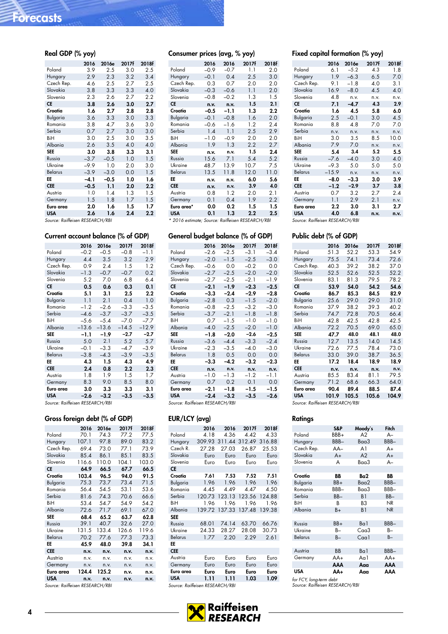| Real GDP (% yoy) |        |         |       |       |
|------------------|--------|---------|-------|-------|
|                  | 2016   | 2016e   | 2017f | 2018f |
| Poland           | 3.9    | $2.5\,$ | 3.0   | 2.5   |
| Hungary          | 2.9    | 2.3     | 3.2   | 3.4   |
| Czech Rep.       | 4.6    | 2.5     | 2.7   | 2.5   |
| Slovakia         | 3.8    | 3.3     | 3.3   | 4.0   |
| Slovenia         | 2.3    | 2.6     | 2.7   | 2.2   |
| <b>CE</b>        | 3.8    | 2.6     | 3.0   | 2.7   |
| Croatia          | 1.6    | 2.7     | 2.8   | 2.8   |
| <b>Bulgaria</b>  | 3.6    | 3.3     | 3.0   | 3.3   |
| Romania          | 3.8    | 4.7     | 3.6   | 3.0   |
| Serbia           | 0.7    | 2.7     | 3.0   | 3.0   |
| BiH              | 3.0    | 2.5     | 3.0   | 3.5   |
| Albania          | 2.6    | 3.5     | 4.0   | 4.0   |
| <b>SEE</b>       | 3.0    | 3.8     | 3.3   | 3.1   |
| Russia           | $-3.7$ | $-0.5$  | 1.0   | 1.5   |
| Ukraine          | $-9.9$ | 1.0     | 2.0   | 3.0   |
| <b>Belarus</b>   | $-3.9$ | $-3.0$  | 0.0   | 1.5   |
| EE               | $-4.1$ | $-0.5$  | 1.0   | 1.6   |
| <b>CEE</b>       | $-0.5$ | 1.1     | 2.0   | 2.2   |
| Austria          | 1.0    | 1.4     | 1.3   | 1.5   |
| Germany          | 1.5    | 1.8     | 1.7   | 1.5   |
| Euro area        | 2.0    | 1.6     | 1.5   | 1.7   |
| <b>USA</b>       | 2.6    | 1.6     | 2.4   | 2.2   |

Source: Raiffeisen RESEARCH/RBI

### Current account balance (% of GDP)

|                | 2016    | 2016e   | 2017f   | 2018f   |
|----------------|---------|---------|---------|---------|
| Poland         | $-0.2$  | $-0.5$  | $-0.8$  | $-1.1$  |
| Hungary        | 4.4     | 3.5     | 3.2     | 2.9     |
| Czech Rep.     | 0.9     | 2.4     | 1.5     | 1.2     |
| Slovakia       | $-1.3$  | $-0.7$  | $-0.7$  | 0.2     |
| Slovenia       | 5.2     | 7.0     | 6.8     | 6.4     |
| СE             | 0.5     | 0.6     | 0.3     | 0.1     |
| Croatia        | 5.1     | 3.1     | 2.5     | 2.2     |
| Bulgaria       | 1.1     | 2.1     | 0.4     | 1.0     |
| Romania        | $-1.2$  | $-2.6$  | $-3.3$  | $-3.5$  |
| Serbia         | $-4.6$  | $-3.7$  | $-3.7$  | $-3.5$  |
| BiH            | $-5.6$  | $-5.4$  | $-7.0$  | -7.7    |
| Albania        | $-13.6$ | $-13.6$ | $-14.5$ | $-12.9$ |
| <b>SEE</b>     | -1.1    | $-1.9$  | $-2.7$  | $-2.7$  |
| Russia         | 5.0     | 2.1     | 5.2     | 5.7     |
| Ukraine        | $-0.1$  | $-3.3$  | $-4.7$  | $-3.9$  |
| <b>Belarus</b> | $-3.8$  | $-4.3$  | $-3.9$  | $-3.5$  |
| EE             | 4.3     | 1.5     | 4.3     | 4.9     |
| <b>CEE</b>     | 2.4     | 0.8     | $2.2\,$ | 2.3     |
| Austria        | 1.8     | 1.9     | 1.5     | 1.7     |
| Germany        | 8.3     | 9.0     | 8.5     | 8.0     |
| Euro area      | 3.0     | 3.3     | 3.3     | 3.1     |
| <b>USA</b>     | $-2.6$  | $-3.2$  | $-3.5$  | $-3.5$  |
|                |         |         |         |         |

Source: Raiffeisen RESEARCH/RBI

### Gross foreign debt (% of GDP)

|                             | 2016  | 2016e        | 2017f | 2018f |
|-----------------------------|-------|--------------|-------|-------|
| Poland                      | 70.1  | 74.3         | 77.2  | 77.5  |
| Hungary                     | 107.1 | 97.8         | 89.0  | 83.2  |
| Czech Rep.                  | 69.4  | 73.0         | 77.1  | 73.9  |
| Slovakia                    | 85.4  | 86.1         | 85.1  | 83.5  |
| Slovenia                    | 116.6 | 110.0        | 104.1 | 103.0 |
| CE                          | 64.9  | 66.5         | 67.7  | 66.5  |
| Croatia                     | 103.4 | 96.5         | 94.0  | 91.5  |
| Bulgaria                    | 75.3  | 73.7         | 73.4  | 71.5  |
| Romania                     | 56.4  | 54.5         | 53.1  | 53.6  |
| Serbia                      | 81.6  | 74.3         | 70.6  | 66.6  |
| BiH                         | 53.4  | 54.7         | 54.9  | 54.2  |
| Albania                     | 72.6  | 71.7         | 69.1  | 67.0  |
| <b>SEE</b>                  | 68.4  | 65.2         | 63.7  | 62.8  |
| Russia                      | 39.1  | 40.7         | 32.6  | 27.0  |
| Ukraine                     | 131.5 | 133.4        | 126.6 | 119.6 |
| Belarus                     | 70.2  | 77.6         | 77.3  | 73.3  |
| EE                          | 45.9  | 48.0         | 39.8  | 34.1  |
| <b>CEE</b>                  | n.v.  | n.v.         | n.v.  | n.v.  |
| Austria                     | n.v.  | n.v.         | n.v.  | n.v.  |
| Germany                     | n.v.  | n.v.         | n.v.  | n.v.  |
| Euro area                   | 124.4 | 125.2        | n.v.  | n.v.  |
| <b>USA</b>                  | n.v.  | n.v.         | n.v.  | n.v.  |
| $\sim$ $\sim$ $\sim$ $\sim$ |       | DFCFADCH/DDI |       |       |

Source: Raiffeisen RESEARCH/RBI

### Consumer prices (avg, % yoy) 2016 2016 2017f 2018f Poland –0.9 –0.7 1.1 2.0<br>Hungary –0.1 0.4 2.5 3.0 Hungary –0.1 0.4 2.5 3.0 Czech Rep. 0.3 0.7 2.0 2.0 Slovakia –0.3 –0.6 1.1 2.0<br>Slovenia –0.8 –0.2 1.3 1.5 Slovenia –0.8 –0.2 1.3 1.5<br> **CE n.v. n.v. 1.5 2.1** CE n.v. n.v. 1.5 2.1 Croatia –0.5 –1.1 1.3 2.2 Bulgaria –0.1 –0.8 1.6 2.0<br>Romania –0.6 –1.6 1.2 2.4 Romania –0.6 –1.6 1.2 2.4<br>Serbia 1.4 1.1 2.5 2.9 Serbia 1.4 1.1 2.5 2.9<br>BiH -1.0 -0.9 2.0 2.0 BiH –1.0 –0.9 2.0 2.0 Albania 1.9 1.3 2.2 2.7<br>**SEE n.v. n.v. 1.5 2.4** SEE n.v. n.v. 1.5 2.4 Russia 15.6 7.1 5.4 5.2 Ukraine 48.7 13.9 10.7 7.5<br>Belarus 13.5 11.8 12.0 11.0 Belarus 13.5 11.8 12.0 11.0<br>**EE n.v. n.v. 6.0 5.6** EE n.v. n.v. 6.0 5.6<br>CEE n.v. n.v. 3.9 4.0 n.v. n.v. 3.9 4.0<br>0.8 1.2 2.0 2.1

Euro area\* 0.0 0.2 1.5 1.5<br>USA 0.1 1.3 2.2 2.5  $0.1$  1.3

Austria

\* 2016 estimate; Source: Raiffeisen RESEARCH/RBI

Germany 0.1 0.4 1.9 2.2

### General budget balance (% of GDP)

|                | 2016   | 2016e  | 2017f  | 2018f  |
|----------------|--------|--------|--------|--------|
| Poland         | $-2.6$ | $-2.5$ | $-3.1$ | $-3.4$ |
| Hungary        | $-2.0$ | $-1.5$ | $-2.5$ | $-3.0$ |
| Czech Rep.     | $-0.6$ | 0.0    | $-0.2$ | 0.0    |
| Slovakia       | $-2.7$ | $-2.5$ | $-2.0$ | $-2.0$ |
| Slovenia       | $-2.7$ | $-2.5$ | $-2.1$ | $-1.9$ |
| СE             | $-2.1$ | $-1.9$ | $-2.3$ | $-2.5$ |
| Croatia        | $-3.3$ | $-2.4$ | $-2.9$ | $-2.8$ |
| Bulgaria       | $-2.8$ | 0.3    | $-1.5$ | $-2.0$ |
| Romania        | $-0.8$ | $-2.5$ | $-3.2$ | $-3.0$ |
| Serbia         | $-3.7$ | $-2.1$ | $-1.8$ | $-1.8$ |
| BiH            | 0.7    | $-1.5$ | $-1.0$ | $-1.0$ |
| Albania        | $-4.0$ | $-2.5$ | $-2.0$ | $-1.0$ |
| <b>SEE</b>     | $-1.8$ | $-2.0$ | $-2.6$ | $-2.5$ |
| Russia         | $-3.6$ | $-4.4$ | $-3.3$ | $-2.4$ |
| Ukraine        | $-2.3$ | $-3.5$ | $-4.0$ | $-3.0$ |
| <b>Belarus</b> | 1.8    | 0.5    | 0.0    | 0.0    |
| EE             | $-3.3$ | $-4.2$ | $-3.2$ | $-2.3$ |
| <b>CEE</b>     | n.v.   | n.v.   | n.v.   | n.v.   |
| Austria        | $-1.0$ | $-1.3$ | $-1.2$ | -1.1   |
| Germany        | 0.7    | 0.2    | 0.1    | 0.0    |
| Euro area      | $-2.1$ | $-1.8$ | $-1.5$ | $-1.5$ |
| <b>USA</b>     | $-2.4$ | $-3.2$ | $-3.5$ | $-2.6$ |
|                |        |        |        |        |

Source: Raiffeisen RESEARCH/RBI

### EUR/LCY (avg)

|                | 2016   | 2016   | 2017f  | 2018f  |
|----------------|--------|--------|--------|--------|
| Poland         | 4.18   | 4.36   | 4.42   | 4.33   |
| Hungary        | 309.93 | 311.44 | 312.49 | 316.88 |
| Czech R.       | 27.28  | 27.03  | 26.87  | 25.53  |
| Slovakia       | Euro   | Euro   | Euro   | Euro   |
| Slovenia       | Euro   | Euro   | Euro   | Euro   |
| <b>CE</b>      |        |        |        |        |
| Croatia        | 7.61   | 7.53   | 7.52   | 7.51   |
| Bulgaria       | 1.96   | 1.96   | 1.96   | 1.96   |
| Romania        | 4.45   | 4.49   | 4.47   | 4.50   |
| Serbia         | 120.73 | 123.13 | 123.56 | 124.88 |
| BiH            | 1.96   | 1.96   | 1.96   | 1.96   |
| Albania        | 139.72 | 137.33 | 137.48 | 139.38 |
| <b>SEE</b>     |        |        |        |        |
| Russia         | 68.01  | 74.14  | 63.70  | 66.76  |
| Ukraine        | 24.33  | 28.27  | 28.08  | 30.73  |
| <b>Belarus</b> | 1.77   | 2.20   | 2.29   | 2.61   |
| EE             |        |        |        |        |
| <b>CEE</b>     |        |        |        |        |
| Austria        | Euro   | Euro   | Euro   | Euro   |
| Germany        | Euro   | Euro   | Euro   | Euro   |
| Euro area      | Euro   | Euro   | Euro   | Euro   |
| <b>USA</b>     | 1.11   | 1.11   | 1.03   | 1.09   |

Source: Raiffeisen RESEARCH/RBI

## Fixed capital formation (% yoy)

|                | 2016    | 2016e  | 2017f | 2018f |
|----------------|---------|--------|-------|-------|
| Poland         | 6.1     | $-5.2$ | 4.3   | 1.8   |
| Hungary        | 1.9     | $-6.3$ | 6.5   | 7.0   |
| Czech Rep.     | 9.1     | $-1.8$ | 4.0   | 3.1   |
| Slovakia       | 16.9    | $-8.0$ | 4.5   | 4.0   |
| Slovenia       | 4.8     | n.v.   | n.v.  | n.v.  |
| <b>CE</b>      | 7.1     | $-4.7$ | 4.3   | 2.9   |
| Croatia        | 1.6     | 4.5    | 5.8   | 6.0   |
| Bulgaria       | 2.5     | $-0.1$ | 3.0   | 4.5   |
| Romania        | 8.8     | 4.8    | 7.0   | 7.0   |
| Serbia         | n.v.    | n.v.   | n.v.  | n.v.  |
| BiH            | 3.0     | 3.5    | 8.5   | 10.0  |
| Albania        | 7.9     | 7.0    | n.v.  | n.v.  |
| <b>SEE</b>     | 5.4     | 3.4    | 5.2   | 5.5   |
| Russia         | $-7.6$  | $-4.0$ | 3.0   | 4.0   |
| Ukraine        | $-9.3$  | 5.0    | 5.0   | 5.0   |
| <b>Belarus</b> | $-15.9$ | n.v.   | n.v.  | n.v.  |
| EE             | $-8.0$  | $-3.3$ | 3.0   | 3.9   |
| <b>CEE</b>     | $-1.2$  | $-2.9$ | 3.7   | 3.8   |
| Austria        | 0.7     | 3.2    | 2.7   | 2.4   |
| Germany        | 1.1     | 2.9    | 2.1   | n.v.  |
| Euro area      | 2.2     | 3.0    | 3.1   | 2.7   |
| <b>USA</b>     | 4.0     | 6.8    | n.v.  | n.v.  |

Source: Raiffeisen RESEARCH/RBI

### Public debt (% of GDP)

|                | 2016  | 2016e | 2017f | 2018f |
|----------------|-------|-------|-------|-------|
| Poland         | 51.3  | 52.2  | 53.3  | 54.9  |
| Hungary        | 75.5  | 74.1  | 73.4  | 72.6  |
| Czech Rep.     | 40.3  | 39.2  | 38.2  | 37.0  |
| Slovakia       | 52.5  | 52.6  | 52.5  | 52.2  |
| Slovenia       | 83.1  | 81.3  | 79.5  | 78.2  |
| <b>CE</b>      | 53.9  | 54.0  | 54.2  | 54.6  |
| Croatia        | 86.7  | 85.3  | 84.5  | 82.9  |
| Bulgaria       | 25.6  | 29.0  | 29.0  | 31.0  |
| Romania        | 37.9  | 38.2  | 39.3  | 40.2  |
| Serbia         | 74.7  | 72.8  | 70.5  | 66.4  |
| BiH            | 42.8  | 42.5  | 42.8  | 42.5  |
| Albania        | 72.2  | 70.5  | 69.0  | 65.0  |
| <b>SEE</b>     | 47.7  | 48.0  | 48.1  | 48.0  |
| Russia         | 12.7  | 13.5  | 14.0  | 14.5  |
| Ukraine        | 72.6  | 77.5  | 78.4  | 73.0  |
| <b>Belarus</b> | 33.0  | 39.0  | 38.7  | 36.5  |
| FF             | 17.2  | 18.4  | 18.9  | 18.9  |
| <b>CEE</b>     | n.v.  | n.v.  | n.v.  | n.v.  |
| Austria        | 85.5  | 83.4  | 81.1  | 79.5  |
| Germany        | 71.2  | 68.6  | 66.3  | 64.0  |
| Euro area      | 90.4  | 89.4  | 88.5  | 87.4  |
| <b>USA</b>     | 101.9 | 105.5 | 105.6 | 104.9 |

Source: Raiffeisen RESEARCH/RBI

### **Ratings**

|                         | S&P   | Moody's           | Fitch     |  |  |  |  |
|-------------------------|-------|-------------------|-----------|--|--|--|--|
| Poland                  | BBB+  | A2                | $A -$     |  |  |  |  |
| Hungary                 | BBB-  | Ba <sub>0</sub> 3 | BBB-      |  |  |  |  |
| Czech Rep.              | AA-   | A1                | A+        |  |  |  |  |
| Slovakia                | $A+$  | A <sub>2</sub>    | A+        |  |  |  |  |
| Slovenia                | А     | Baa3              | $A -$     |  |  |  |  |
|                         |       |                   |           |  |  |  |  |
| Croatia                 | BB    | Ba2               | BB        |  |  |  |  |
| Bulgaria                | BB+   | Baa2              | BBB-      |  |  |  |  |
| Romania                 | BBB-  | Baa3              | BBB-      |  |  |  |  |
| Serbia                  | $BB-$ | B1                | BB-       |  |  |  |  |
| BiH                     | B     | B3                | <b>NR</b> |  |  |  |  |
| Albania                 | $B+$  | B1                | <b>NR</b> |  |  |  |  |
|                         |       |                   |           |  |  |  |  |
| Russia                  | BB+   | Ba1               | BBB-      |  |  |  |  |
| Ukraine                 | B-    | Caa3              | B-        |  |  |  |  |
| <b>Belarus</b>          | $B -$ | C <sub>q</sub>    | $B -$     |  |  |  |  |
|                         |       |                   |           |  |  |  |  |
| Austria                 | ΒB    | Ba1               | BBB-      |  |  |  |  |
| Germany                 | $AA+$ | Aa 1              | $AA+$     |  |  |  |  |
|                         | AAA   | Aaa               | ΑΑΑ       |  |  |  |  |
| USA                     | AA+   | Aaa               | ААА       |  |  |  |  |
| for FCY, long-term debt |       |                   |           |  |  |  |  |

for FCY, long-term debt Source: Raiffeisen RESEARCH/RBI

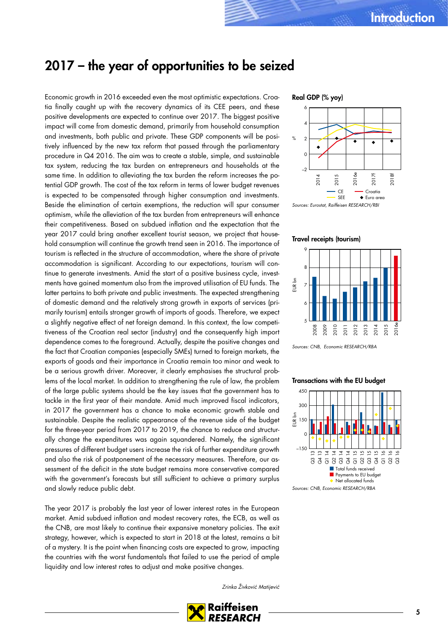# <span id="page-4-0"></span>2017 – the year of opportunities to be seized

Economic growth in 2016 exceeded even the most optimistic expectations. Croatia finally caught up with the recovery dynamics of its CEE peers, and these positive developments are expected to continue over 2017. The biggest positive impact will come from domestic demand, primarily from household consumption and investments, both public and private. These GDP components will be positively influenced by the new tax reform that passed through the parliamentary procedure in Q4 2016. The aim was to create a stable, simple, and sustainable tax system, reducing the tax burden on entrepreneurs and households at the same time. In addition to alleviating the tax burden the reform increases the potential GDP growth. The cost of the tax reform in terms of lower budget revenues is expected to be compensated through higher consumption and investments. Beside the elimination of certain exemptions, the reduction will spur consumer optimism, while the alleviation of the tax burden from entrepreneurs will enhance their competitiveness. Based on subdued inflation and the expectation that the year 2017 could bring another excellent tourist season, we project that household consumption will continue the growth trend seen in 2016. The importance of tourism is reflected in the structure of accommodation, where the share of private accommodation is significant. According to our expectations, tourism will continue to generate investments. Amid the start of a positive business cycle, investments have gained momentum also from the improved utilisation of EU funds. The latter pertains to both private and public investments. The expected strengthening of domestic demand and the relatively strong growth in exports of services (primarily tourism) entails stronger growth of imports of goods. Therefore, we expect a slightly negative effect of net foreign demand. In this context, the low competitiveness of the Croatian real sector (industry) and the consequently high import dependence comes to the foreground. Actually, despite the positive changes and the fact that Croatian companies (especially SMEs) turned to foreign markets, the exports of goods and their importance in Croatia remain too minor and weak to be a serious growth driver. Moreover, it clearly emphasises the structural problems of the local market. In addition to strengthening the rule of law, the problem of the large public systems should be the key issues that the government has to tackle in the first year of their mandate. Amid much improved fiscal indicators, in 2017 the government has a chance to make economic growth stable and sustainable. Despite the realistic appearance of the revenue side of the budget for the three-year period from 2017 to 2019, the chance to reduce and structurally change the expenditures was again squandered. Namely, the significant pressures of different budget users increase the risk of further expenditure growth and also the risk of postponement of the necessary measures. Therefore, our assessment of the deficit in the state budget remains more conservative compared with the government's forecasts but still sufficient to achieve a primary surplus and slowly reduce public debt.

The year 2017 is probably the last year of lower interest rates in the European market. Amid subdued inflation and modest recovery rates, the ECB, as well as the CNB, are most likely to continue their expansive monetary policies. The exit strategy, however, which is expected to start in 2018 at the latest, remains a bit of a mystery. It is the point when financing costs are expected to grow, impacting the countries with the worst fundamentals that failed to use the period of ample liquidity and low interest rates to adjust and make positive changes.

#### Zrinka Živković Matijević



### Real GDP (% yoy)



Travel receipts (tourism)



Sources: CNB, Economic RESEARCH/RBA

### Transactions with the EU budget

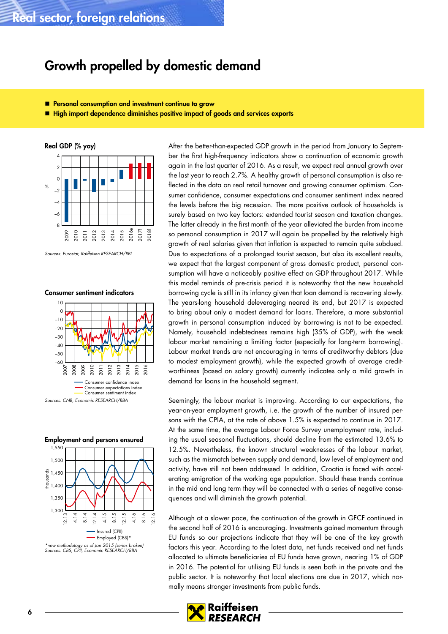# <span id="page-5-0"></span>Growth propelled by domestic demand

- **Personal consumption and investment continue to grow**
- High import dependence diminishes positive impact of goods and services exports



Sources: Eurostat, Raiffeisen RESEARCH/RBI

Consumer sentiment indicators







\*new methodology as of Jan 2015 (series broken) Sources: CBS, CPII, Economic RESEARCH/RBA

After the better-than-expected GDP growth in the period from January to September the first high-frequency indicators show a continuation of economic growth again in the last quarter of 2016. As a result, we expect real annual growth over the last year to reach 2.7%. A healthy growth of personal consumption is also reflected in the data on real retail turnover and growing consumer optimism. Consumer confidence, consumer expectations and consumer sentiment index neared the levels before the big recession. The more positive outlook of households is surely based on two key factors: extended tourist season and taxation changes. The latter already in the first month of the year alleviated the burden from income so personal consumption in 2017 will again be propelled by the relatively high growth of real salaries given that inflation is expected to remain quite subdued. Due to expectations of a prolonged tourist season, but also its excellent results, we expect that the largest component of gross domestic product, personal consumption will have a noticeably positive effect on GDP throughout 2017. While this model reminds of pre-crisis period it is noteworthy that the new household borrowing cycle is still in its infancy given that loan demand is recovering slowly. The years-long household deleveraging neared its end, but 2017 is expected to bring about only a modest demand for loans. Therefore, a more substantial growth in personal consumption induced by borrowing is not to be expected. Namely, household indebtedness remains high (35% of GDP), with the weak labour market remaining a limiting factor (especially for long-term borrowing). Labour market trends are not encouraging in terms of creditworthy debtors (due to modest employment growth), while the expected growth of average creditworthiness (based on salary growth) currently indicates only a mild growth in demand for loans in the household segment.

Seemingly, the labour market is improving. According to our expectations, the year-on-year employment growth, i.e. the growth of the number of insured persons with the CPIA, at the rate of above 1.5% is expected to continue in 2017. At the same time, the average Labour Force Survey unemployment rate, including the usual seasonal fluctuations, should decline from the estimated 13.6% to 12.5%. Nevertheless, the known structural weaknesses of the labour market, such as the mismatch between supply and demand, low level of employment and activity, have still not been addressed. In addition, Croatia is faced with accelerating emigration of the working age population. Should these trends continue in the mid and long term they will be connected with a series of negative consequences and will diminish the growth potential.

Although at a slower pace, the continuation of the growth in GFCF continued in the second half of 2016 is encouraging. Investments gained momentum through EU funds so our projections indicate that they will be one of the key growth factors this year. According to the latest data, net funds received and net funds allocated to ultimate beneficiaries of EU funds have grown, nearing 1% of GDP in 2016. The potential for utilising EU funds is seen both in the private and the public sector. It is noteworthy that local elections are due in 2017, which normally means stronger investments from public funds.

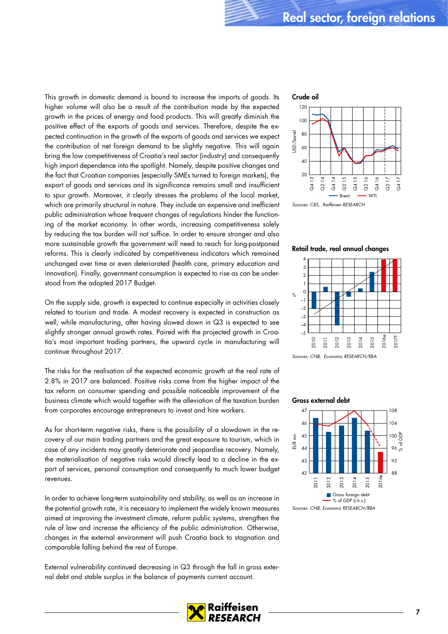This growth in domestic demand is bound to increase the imports of goods. Its higher volume will also be a result of the contribution made by the expected growth in the prices of energy and food products. This will greatly diminish the positive effect of the exports of goods and services. Therefore, despite the expected continuation in the growth of the exports of goods and services we expect the contribution of net foreign demand to be slightly negative. This will again bring the low competitiveness of Croatia's real sector (industry) and consequently high import dependence into the spotlight. Namely, despite positive changes and the fact that Croatian companies (especially SMEs turned to foreign markets), the export of goods and services and its significance remains small and insufficient to spur growth. Moreover, it clearly stresses the problems of the local market, which are primarily structural in nature. They include an expensive and inefficient public administration whose frequent changes of regulations hinder the functioning of the market economy. In other words, increasing competitiveness solely by reducing the tax burden will not suffice. In order to ensure stronger and also more sustainable growth the government will need to reach for long-postponed reforms. This is clearly indicated by competitiveness indicators which remained unchanged over time or even deteriorated (health care, primary education and innovation). Finally, government consumption is expected to rise as can be understood from the adopted 2017 Budget.

On the supply side, growth is expected to continue especially in activities closely related to tourism and trade. A modest recovery is expected in construction as well, while manufacturing, after having slowed down in Q3 is expected to see slightly stronger annual growth rates. Paired with the projected growth in Croatia's most important trading partners, the upward cycle in manufacturing will continue throughout 2017.

The risks for the realisation of the expected economic growth at the real rate of 2.8% in 2017 are balanced. Positive risks come from the higher impact of the tax reform on consumer spending and possible noticeable improvement of the business climate which would together with the alleviation of the taxation burden from corporates encourage entrepreneurs to invest and hire workers.

As for short-term negative risks, there is the possibility of a slowdown in the recovery of our main trading partners and the great exposure to tourism, which in case of any incidents may greatly deteriorate and jeopardise recovery. Namely, the materialisation of negative risks would directly lead to a decline in the export of services, personal consumption and consequently to much lower budget revenues.

In order to achieve long-term sustainability and stability, as well as an increase in the potential growth rate, it is necessary to implement the widely known measures aimed at improving the investment climate, reform public systems, strengthen the rule of law and increase the efficiency of the public administration. Otherwise, changes in the external environment will push Croatia back to stagnation and comparable falling behind the rest of Europe.

External vulnerability continued decreasing in Q3 through the fall in gross external debt and stable surplus in the balance of payments current account.



Sources: CBS, Raiffeisen RESEARCH

### Retail trade, real annual changes



Sources: CNB, Economic RESEARCH/RBA





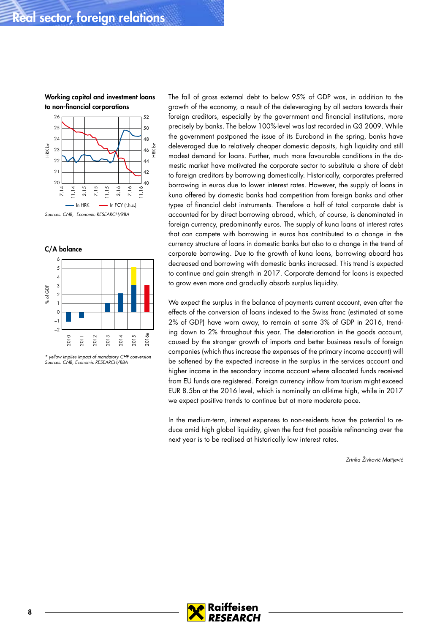### Working capital and investment loans to non-financial corporations





\* yellow implies impact of mandatory CHF conversion Sources: CNB, Economic RESEARCH/RBA

The fall of gross external debt to below 95% of GDP was, in addition to the growth of the economy, a result of the deleveraging by all sectors towards their foreign creditors, especially by the government and financial institutions, more precisely by banks. The below 100%-level was last recorded in Q3 2009. While the government postponed the issue of its Eurobond in the spring, banks have deleveraged due to relatively cheaper domestic deposits, high liquidity and still modest demand for loans. Further, much more favourable conditions in the domestic market have motivated the corporate sector to substitute a share of debt to foreign creditors by borrowing domestically. Historically, corporates preferred borrowing in euros due to lower interest rates. However, the supply of loans in kuna offered by domestic banks had competition from foreign banks and other types of financial debt instruments. Therefore a half of total corporate debt is accounted for by direct borrowing abroad, which, of course, is denominated in foreign currency, predominantly euros. The supply of kuna loans at interest rates that can compete with borrowing in euros has contributed to a change in the currency structure of loans in domestic banks but also to a change in the trend of corporate borrowing. Due to the growth of kuna loans, borrowing aboard has decreased and borrowing with domestic banks increased. This trend is expected to continue and gain strength in 2017. Corporate demand for loans is expected to grow even more and gradually absorb surplus liquidity.

We expect the surplus in the balance of payments current account, even after the effects of the conversion of loans indexed to the Swiss franc (estimated at some 2% of GDP) have worn away, to remain at some 3% of GDP in 2016, trending down to 2% throughout this year. The deterioration in the goods account, caused by the stronger growth of imports and better business results of foreign companies (which thus increase the expenses of the primary income account) will be softened by the expected increase in the surplus in the services account and higher income in the secondary income account where allocated funds received from EU funds are registered. Foreign currency inflow from tourism might exceed EUR 8.5bn at the 2016 level, which is nominally an all-time high, while in 2017 we expect positive trends to continue but at more moderate pace.

In the medium-term, interest expenses to non-residents have the potential to reduce amid high global liquidity, given the fact that possible refinancing over the next year is to be realised at historically low interest rates.

Zrinka Živković Matijević

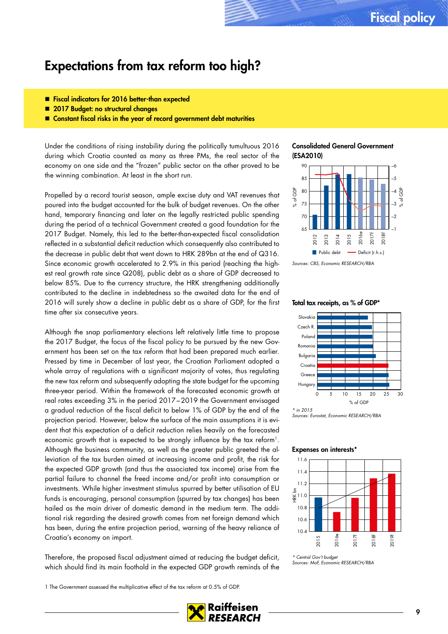# <span id="page-8-0"></span>Expectations from tax reform too high?

- **Fiscal indicators for 2016 better-than expected**
- 2017 Budget: no structural changes
- Constant fiscal risks in the year of record government debt maturities

Under the conditions of rising instability during the politically tumultuous 2016 during which Croatia counted as many as three PMs, the real sector of the economy on one side and the "frozen" public sector on the other proved to be the winning combination. At least in the short run.

Propelled by a record tourist season, ample excise duty and VAT revenues that poured into the budget accounted for the bulk of budget revenues. On the other hand, temporary financing and later on the legally restricted public spending during the period of a technical Government created a good foundation for the 2017 Budget. Namely, this led to the better-than-expected fiscal consolidation reflected in a substantial deficit reduction which consequently also contributed to the decrease in public debt that went down to HRK 289bn at the end of Q316. Since economic growth accelerated to 2.9% in this period (reaching the highest real growth rate since Q208), public debt as a share of GDP decreased to below 85%. Due to the currency structure, the HRK strengthening additionally contributed to the decline in indebtedness so the awaited data for the end of 2016 will surely show a decline in public debt as a share of GDP, for the first time after six consecutive years.

Although the snap parliamentary elections left relatively little time to propose the 2017 Budget, the focus of the fiscal policy to be pursued by the new Government has been set on the tax reform that had been prepared much earlier. Pressed by time in December of last year, the Croatian Parliament adopted a whole array of regulations with a significant majority of votes, thus regulating the new tax reform and subsequently adopting the state budget for the upcoming three-year period. Within the framework of the forecasted economic growth at real rates exceeding 3% in the period 2017–2019 the Government envisaged a gradual reduction of the fiscal deficit to below 1% of GDP by the end of the projection period. However, below the surface of the main assumptions it is evident that this expectation of a deficit reduction relies heavily on the forecasted economic growth that is expected to be strongly influence by the tax reform<sup>1</sup>. Although the business community, as well as the greater public greeted the alleviation of the tax burden aimed at increasing income and profit, the risk for the expected GDP growth (and thus the associated tax income) arise from the partial failure to channel the freed income and/or profit into consumption or investments. While higher investment stimulus spurred by better utilisation of EU funds is encouraging, personal consumption (spurred by tax changes) has been hailed as the main driver of domestic demand in the medium term. The additional risk regarding the desired growth comes from net foreign demand which has been, during the entire projection period, warning of the heavy reliance of Croatia's economy on import.

Therefore, the proposed fiscal adjustment aimed at reducing the budget deficit, which should find its main foothold in the expected GDP growth reminds of the

1 The Government assessed the multiplicative effect of the tax reform at 0.5% of GDP.

### Consolidated General Government (ESA2010)



### Total tax receipts, as % of GDP\*



Sources: Eurostat, Economic RESEARCH/RBA

#### Expenses on interests\*



\* Central Gov't budget Sources: MoF, Economic RESEARCH/RBA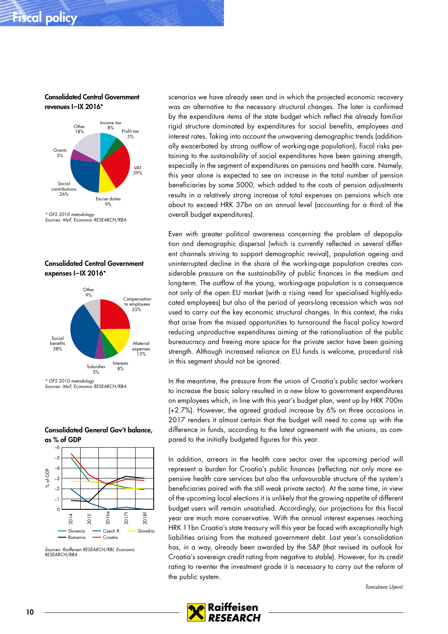# Fiscal policy

Consolidated Central Government revenues I–IX 2016\*



<sup>\*</sup> GFS 2010 metodology Sources: MoF, Economic RESEARCH/RBA





\* GFS 2010 metodology Sources: MoF, Economic RESEARCH/RBA



Consolidated General Gov't balance, as % of GDP

scenarios we have already seen and in which the projected economic recovery was an alternative to the necessary structural changes. The later is confirmed by the expenditure items of the state budget which reflect the already familiar rigid structure dominated by expenditures for social benefits, employees and interest rates. Taking into account the unwavering demographic trends (additionally exacerbated by strong outflow of working-age population), fiscal risks pertaining to the sustainability of social expenditures have been gaining strength, especially in the segment of expenditures on pensions and health care. Namely, this year alone is expected to see an increase in the total number of pension beneficiaries by some 5000, which added to the costs of pension adjustments results in a relatively strong increase of total expenses on pensions which are about to exceed HRK 37bn on an annual level (accounting for a third of the overall budget expenditures).

Even with greater political awareness concerning the problem of depopulation and demographic dispersal (which is currently reflected in several different channels striving to support demographic revival), population ageing and uninterrupted decline in the share of the working-age population creates considerable pressure on the sustainability of public finances in the medium and long-term. The outflow of the young, working-age population is a consequence not only of the open EU market (with a rising need for specialised highly-educated employees) but also of the period of years-long recession which was not used to carry out the key economic structural changes. In this context, the risks that arise from the missed opportunities to turnaround the fiscal policy toward reducing unproductive expenditures aiming at the rationalisation of the public bureaucracy and freeing more space for the private sector have been gaining strength. Although increased reliance on EU funds is welcome, procedural risk in this segment should not be ignored.

In the meantime, the pressure from the union of Croatia's public sector workers to increase the basic salary resulted in a new blow to government expenditures on employees which, in line with this year's budget plan, went up by HRK 700m (+2.7%). However, the agreed gradual increase by 6% on three occasions in 2017 renders it almost certain that the budget will need to come up with the difference in funds, according to the latest agreement with the unions, as compared to the initially budgeted figures for this year.

In addition, arrears in the health care sector over the upcoming period will represent a burden for Croatia's public finances (reflecting not only more expensive health care services but also the unfavourable structure of the system's beneficiaries paired with the still weak private sector). At the same time, in view of the upcoming local elections it is unlikely that the growing appetite of different budget users will remain unsatisfied. Accordingly, our projections for this fiscal year are much more conservative. With the annual interest expenses reaching HRK 11bn Croatia's state treasury will this year be faced with exceptionally high liabilities arising from the matured government debt. Last year's consolidation has, in a way, already been awarded by the S&P (that revised its outlook for Croatia's sovereign credit rating from negative to stable). However, for its credit rating to re-enter the investment grade it is necessary to carry out the reform of the public system.

Tomislava Ujević



Sources: Raiffeisen RESEARCH/RBI, Economic RESEARCH/RBA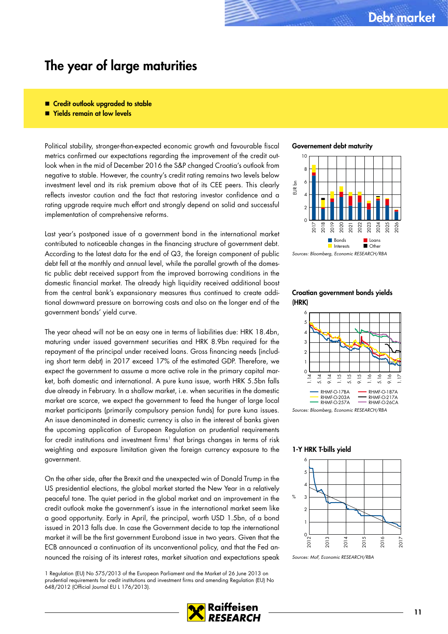# <span id="page-10-0"></span>The year of large maturities

- Credit outlook upgraded to stable
- Yields remain at low levels

Political stability, stronger-than-expected economic growth and favourable fiscal metrics confirmed our expectations regarding the improvement of the credit outlook when in the mid of December 2016 the S&P changed Croatia's outlook from negative to stable. However, the country's credit rating remains two levels below investment level and its risk premium above that of its CEE peers. This clearly reflects investor caution and the fact that restoring investor confidence and a rating upgrade require much effort and strongly depend on solid and successful implementation of comprehensive reforms.

Last year's postponed issue of a government bond in the international market contributed to noticeable changes in the financing structure of government debt. According to the latest data for the end of Q3, the foreign component of public debt fell at the monthly and annual level, while the parallel growth of the domestic public debt received support from the improved borrowing conditions in the domestic financial market. The already high liquidity received additional boost from the central bank's expansionary measures thus continued to create additional downward pressure on borrowing costs and also on the longer end of the government bonds' yield curve.

The year ahead will not be an easy one in terms of liabilities due: HRK 18.4bn, maturing under issued government securities and HRK 8.9bn required for the repayment of the principal under received loans. Gross financing needs (including short term debt) in 2017 exceed 17% of the estimated GDP. Therefore, we expect the government to assume a more active role in the primary capital market, both domestic and international. A pure kuna issue, worth HRK 5.5bn falls due already in February. In a shallow market, i.e. when securities in the domestic market are scarce, we expect the government to feed the hunger of large local market participants (primarily compulsory pension funds) for pure kuna issues. An issue denominated in domestic currency is also in the interest of banks given the upcoming application of European Regulation on prudential requirements for credit institutions and investment firms<sup>1</sup> that brings changes in terms of risk weighting and exposure limitation given the foreign currency exposure to the government.

On the other side, after the Brexit and the unexpected win of Donald Trump in the US presidential elections, the global market started the New Year in a relatively peaceful tone. The quiet period in the global market and an improvement in the credit outlook make the government's issue in the international market seem like a good opportunity. Early in April, the principal, worth USD 1.5bn, of a bond issued in 2013 falls due. In case the Government decide to tap the international market it will be the first government Eurobond issue in two years. Given that the ECB announced a continuation of its unconventional policy, and that the Fed announced the raising of its interest rates, market situation and expectations speak

1 Regulation (EU) No 575/2013 of the European Parliament and the Market of 26 June 2013 on prudential requirements for credit institutions and investment firms and amending Regulation (EU) No 648/2012 (Official Journal EU L 176/2013).

Governement debt maturity



Sources: Bloomberg, Economic RESEARCH/RBA

### Croatian government bonds yields (HRK)



Sources: Bloomberg, Economic RESEARCH/RBA

### 1-Y HRK T-bills yield



Sources: MoF, Economic RESEARCH/RBA

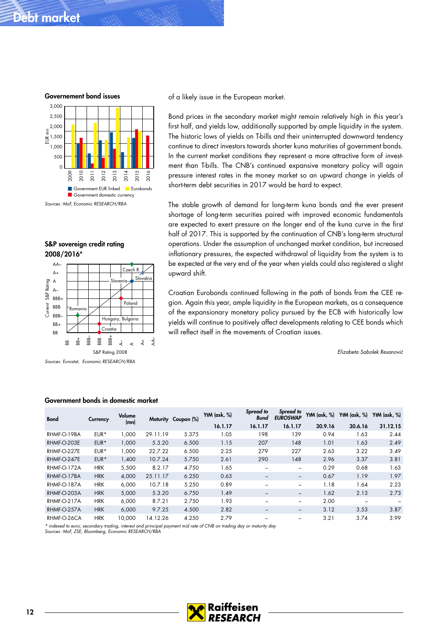# Debt market

Governement bond issues 2,500 3,000



S&P sovereign credit rating 2008/2016\*



Sources: Eurostat, Economic RESEARCH/RBA

of a likely issue in the European market.

Bond prices in the secondary market might remain relatively high in this year's first half, and yields low, additionally supported by ample liquidity in the system. The historic lows of yields on T-bills and their uninterrupted downward tendency continue to direct investors towards shorter kuna maturities of government bonds. In the current market conditions they represent a more attractive form of investment than T-bills. The CNB's continued expansive monetary policy will again pressure interest rates in the money market so an upward change in yields of short-term debt securities in 2017 would be hard to expect.

The stable growth of demand for long-term kuna bonds and the ever present shortage of long-term securities paired with improved economic fundamentals are expected to exert pressure on the longer end of the kuna curve in the first half of 2017. This is supported by the continuation of CNB's long-term structural operations. Under the assumption of unchanged market condition, but increased inflationary pressures, the expected withdrawal of liquidity from the system is to be expected at the very end of the year when yields could also registered a slight upward shift.

Croatian Eurobonds continued following in the path of bonds from the CEE region. Again this year, ample liquidity in the European markets, as a consequence of the expansionary monetary policy pursued by the ECB with historically low yields will continue to positively affect developments relating to CEE bonds which will reflect itself in the movements of Croatian issues.

Elizabeta Sabolek Resanović

| <b>Bond</b> | Currency   | Volume<br>(mn) |          | Maturity Coupon (%) | YtM (ask, %) | Spread to<br><b>Bund</b> | Spread to<br><b>EUROSWAP</b> | YtM $(ask, %)$ | YtM $(ask, %)$ | YtM $(ask, %)$ |
|-------------|------------|----------------|----------|---------------------|--------------|--------------------------|------------------------------|----------------|----------------|----------------|
|             |            |                |          |                     | 16.1.17      | 16.1.17                  | 16.1.17                      | 30.9.16        | 30.6.16        | 31.12.15       |
| RHMF-O-19BA | EUR*       | 1,000          | 29.11.19 | 5.375               | 1.05         | 198                      | 139                          | 0.94           | 1.63           | 2.44           |
| RHMF-O-203E | $EUR*$     | 1,000          | 5.3.20   | 6.500               | 1.15         | 207                      | 148                          | 1.01           | 1.63           | 2.49           |
| RHMF-O-227E | EUR*       | 1.000          | 22.7.22  | 6.500               | 2.25         | 279                      | 227                          | 2.63           | 3.22           | 3.49           |
| RHMF-O-247E | EUR*       | 1,400          | 10.7.24  | 5.750               | 2.61         | 290                      | 148                          | 2.96           | 3.37           | 3.81           |
| RHMF-O-172A | <b>HRK</b> | 5,500          | 8.2.17   | 4.750               | 1.65         | $\overline{\phantom{m}}$ | $\overline{\phantom{0}}$     | 0.29           | 0.68           | 1.63           |
| RHMF-O-17BA | <b>HRK</b> | 4.000          | 25.11.17 | 6.250               | 0.63         | $\qquad \qquad$          | $\qquad \qquad -$            | 0.67           | 1.19           | 1.97           |
| RHMF-O-187A | <b>HRK</b> | 6.000          | 10.7.18  | 5.250               | 0.89         |                          | $\overline{\phantom{0}}$     | 1.18           | 1.64           | 2.23           |
| RHMF-O-203A | <b>HRK</b> | 5,000          | 5.3.20   | 6.750               | 1.49         | $\qquad \qquad -$        | $\qquad \qquad -$            | 1.62           | 2.13           | 2.73           |
| RHMF-O-217A | <b>HRK</b> | 6.000          | 8.7.21   | 2.750               | 1.93         |                          |                              | 2.00           |                |                |
| RHMF-O-257A | <b>HRK</b> | 6.000          | 9.7.25   | 4.500               | 2.82         | $\qquad \qquad$          | $\qquad \qquad -$            | 3.12           | 3.53           | 3.87           |
| RHMF-O-26CA | <b>HRK</b> | 10.000         | 14.12.26 | 4.250               | 2.79         |                          |                              | 3.21           | 3.74           | 3.99           |

### Government bonds in domestic market

\* indexed to euro; secondary trading, interest and principal payment mid rate of CNB on trading day or maturity day Sources: MoF, ZSE, Bloomberg, Economic RESEARCH/RBA

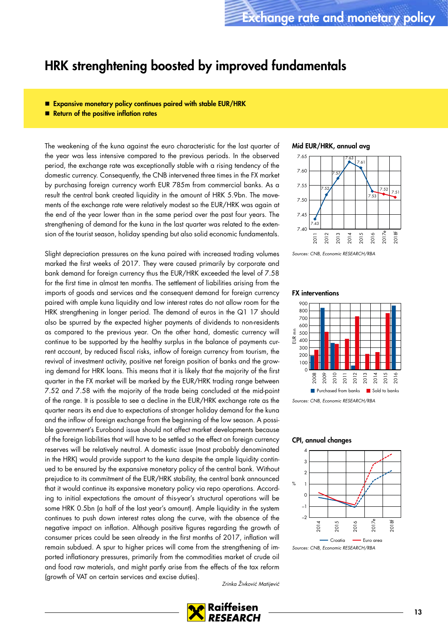# <span id="page-12-0"></span>HRK strenghtening boosted by improved fundamentals

- **Expansive monetary policy continues paired with stable EUR/HRK**
- Return of the positive inflation rates

The weakening of the kuna against the euro characteristic for the last quarter of the year was less intensive compared to the previous periods. In the observed period, the exchange rate was exceptionally stable with a rising tendency of the domestic currency. Consequently, the CNB intervened three times in the FX market by purchasing foreign currency worth EUR 785m from commercial banks. As a result the central bank created liquidity in the amount of HRK 5.9bn. The movements of the exchange rate were relatively modest so the EUR/HRK was again at the end of the year lower than in the same period over the past four years. The strengthening of demand for the kuna in the last quarter was related to the extension of the tourist season, holiday spending but also solid economic fundamentals.

Slight depreciation pressures on the kuna paired with increased trading volumes marked the first weeks of 2017. They were caused primarily by corporate and bank demand for foreign currency thus the EUR/HRK exceeded the level of 7.58 for the first time in almost ten months. The settlement of liabilities arising from the imports of goods and services and the consequent demand for foreign currency paired with ample kuna liquidity and low interest rates do not allow room for the HRK strengthening in longer period. The demand of euros in the Q1 17 should also be spurred by the expected higher payments of dividends to non-residents as compared to the previous year. On the other hand, domestic currency will continue to be supported by the healthy surplus in the balance of payments current account, by reduced fiscal risks, inflow of foreign currency from tourism, the revival of investment activity, positive net foreign position of banks and the growing demand for HRK loans. This means that it is likely that the majority of the first quarter in the FX market will be marked by the EUR/HRK trading range between 7.52 and 7.58 with the majority of the trade being concluded at the mid-point of the range. It is possible to see a decline in the EUR/HRK exchange rate as the quarter nears its end due to expectations of stronger holiday demand for the kuna and the inflow of foreign exchange from the beginning of the low season. A possible government's Eurobond issue should not affect market developments because of the foreign liabilities that will have to be settled so the effect on foreign currency reserves will be relatively neutral. A domestic issue (most probably denominated in the HRK) would provide support to the kuna despite the ample liquidity continued to be ensured by the expansive monetary policy of the central bank. Without prejudice to its commitment of the EUR/HRK stability, the central bank announced that it would continue its expansive monetary policy via repo operations. According to initial expectations the amount of this-year's structural operations will be some HRK 0.5bn (a half of the last year's amount). Ample liquidity in the system continues to push down interest rates along the curve, with the absence of the negative impact on inflation. Although positive figures regarding the growth of consumer prices could be seen already in the first months of 2017, inflation will remain subdued. A spur to higher prices will come from the strengthening of imported inflationary pressures, primarily from the commodities market of crude oil and food raw materials, and might partly arise from the effects of the tax reform (growth of VAT on certain services and excise duties).

### Mid EUR/HRK, annual avg



Sources: CNB, Economic RESEARCH/RBA

#### FX interventions



Sources: CNB, Economic RESEARCH/RBA

### CPI, annual changes



Sources: CNB, Economic RESEARCH/RBA

Zrinka Živković Matijević

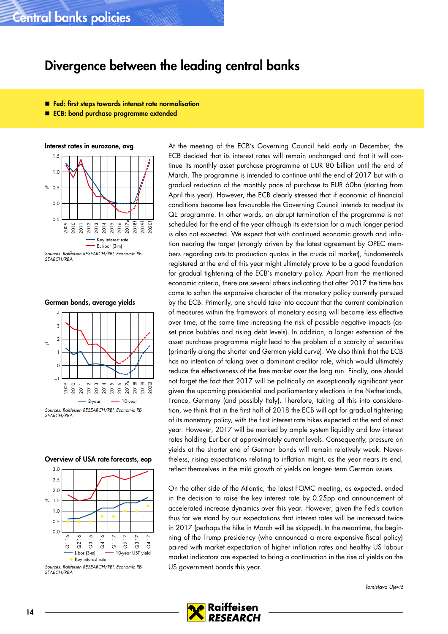# <span id="page-13-0"></span>Central banks policies

# Divergence between the leading central banks

- **Fed:** first steps towards interest rate normalisation
- ECB: bond purchase programme extended

Interest rates in eurozone, avg



SEARCH/RBA

German bonds, average yields



SEARCH/RBA

### Overview of USA rate forecasts, eop



Sources: Raiffeisen RESEARCH/RBI, Economic RE-SEARCH/RBA

At the meeting of the ECB's Governing Council held early in December, the ECB decided that its interest rates will remain unchanged and that it will continue its monthly asset purchase programme at EUR 80 billion until the end of March. The programme is intended to continue until the end of 2017 but with a gradual reduction of the monthly pace of purchase to EUR 60bn (starting from April this year). However, the ECB clearly stressed that if economic of financial conditions become less favourable the Governing Council intends to readjust its QE programme. In other words, an abrupt termination of the programme is not scheduled for the end of the year although its extension for a much longer period is also not expected. We expect that with continued economic growth and inflation nearing the target (strongly driven by the latest agreement by OPEC members regarding cuts to production quotas in the crude oil market), fundamentals registered at the end of this year might ultimately prove to be a good foundation for gradual tightening of the ECB's monetary policy. Apart from the mentioned economic criteria, there are several others indicating that after 2017 the time has come to soften the expansive character of the monetary policy currently pursued by the ECB. Primarily, one should take into account that the current combination of measures within the framework of monetary easing will become less effective over time, at the same time increasing the risk of possible negative impacts (asset price bubbles and rising debt levels). In addition, a longer extension of the asset purchase programme might lead to the problem of a scarcity of securities (primarily along the shorter end German yield curve). We also think that the ECB has no intention of taking over a dominant creditor role, which would ultimately reduce the effectiveness of the free market over the long run. Finally, one should not forget the fact that 2017 will be politically an exceptionally significant year given the upcoming presidential and parliamentary elections in the Netherlands, France, Germany (and possibly Italy). Therefore, taking all this into consideration, we think that in the first half of 2018 the ECB will opt for gradual tightening of its monetary policy, with the first interest rate hikes expected at the end of next year. However, 2017 will be marked by ample system liquidity and low interest rates holding Euribor at approximately current levels. Consequently, pressure on yields at the shorter end of German bonds will remain relatively weak. Nevertheless, rising expectations relating to inflation might, as the year nears its end, reflect themselves in the mild growth of yields on longer- term German issues.

On the other side of the Atlantic, the latest FOMC meeting, as expected, ended in the decision to raise the key interest rate by 0.25pp and announcement of accelerated increase dynamics over this year. However, given the Fed's caution thus far we stand by our expectations that interest rates will be increased twice in 2017 (perhaps the hike in March will be skipped). In the meantime, the beginning of the Trump presidency (who announced a more expansive fiscal policy) paired with market expectation of higher inflation rates and healthy US labour market indicators are expected to bring a continuation in the rise of yields on the US government bonds this year.

Tomislava Ujević

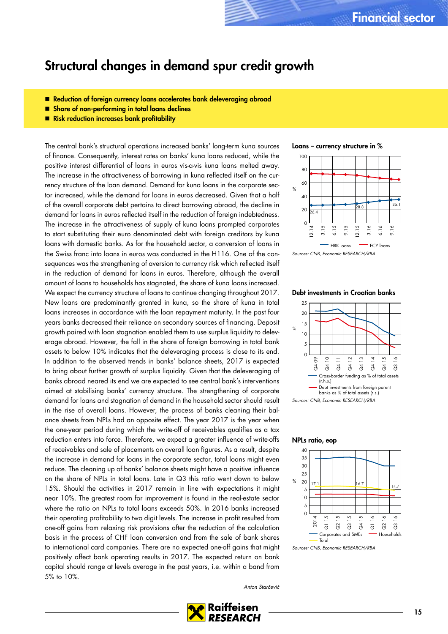# <span id="page-14-0"></span>Structural changes in demand spur credit growth

- Reduction of foreign currency loans accelerates bank deleveraging abroad
- **B** Share of non-performing in total loans declines
- Risk reduction increases bank profitability

The central bank's structural operations increased banks' long-term kuna sources of finance. Consequently, interest rates on banks' kuna loans reduced, while the positive interest differential of loans in euros vis-a-vis kuna loans melted away. The increase in the attractiveness of borrowing in kuna reflected itself on the currency structure of the loan demand. Demand for kuna loans in the corporate sector increased, while the demand for loans in euros decreased. Given that a half of the overall corporate debt pertains to direct borrowing abroad, the decline in demand for loans in euros reflected itself in the reduction of foreign indebtedness. The increase in the attractiveness of supply of kuna loans prompted corporates to start substituting their euro denominated debt with foreign creditors by kuna loans with domestic banks. As for the household sector, a conversion of loans in the Swiss franc into loans in euros was conducted in the H116. One of the consequences was the strengthening of aversion to currency risk which reflected itself in the reduction of demand for loans in euros. Therefore, although the overall amount of loans to households has stagnated, the share of kuna loans increased. We expect the currency structure of loans to continue changing throughout 2017. New loans are predominantly granted in kuna, so the share of kuna in total loans increases in accordance with the loan repayment maturity. In the past four years banks decreased their reliance on secondary sources of financing. Deposit growth paired with loan stagnation enabled them to use surplus liquidity to deleverage abroad. However, the fall in the share of foreign borrowing in total bank assets to below 10% indicates that the deleveraging process is close to its end. In addition to the observed trends in banks' balance sheets, 2017 is expected to bring about further growth of surplus liquidity. Given that the deleveraging of banks abroad neared its end we are expected to see central bank's interventions aimed at stabilising banks' currency structure. The strengthening of corporate demand for loans and stagnation of demand in the household sector should result in the rise of overall loans. However, the process of banks cleaning their balance sheets from NPLs had an opposite effect. The year 2017 is the year when the one-year period during which the write-off of receivables qualifies as a tax reduction enters into force. Therefore, we expect a greater influence of write-offs of receivables and sale of placements on overall loan figures. As a result, despite the increase in demand for loans in the corporate sector, total loans might even reduce. The cleaning up of banks' balance sheets might have a positive influence on the share of NPLs in total loans. Late in Q3 this ratio went down to below 15%. Should the activities in 2017 remain in line with expectations it might near 10%. The greatest room for improvement is found in the real-estate sector where the ratio on NPLs to total loans exceeds 50%. In 2016 banks increased their operating profitability to two digit levels. The increase in profit resulted from one-off gains from relaxing risk provisions after the reduction of the calculation basis in the process of CHF loan conversion and from the sale of bank shares to international card companies. There are no expected one-off gains that might positively affect bank operating results in 2017. The expected return on bank capital should range at levels average in the past years, i.e. within a band from 5% to 10%.

Loans – currency structure in %



# Debt investments in Croatian banks



### NPLs ratio, eop



Sources: CNB, Economic RESEARCH/RBA

Anton Starčević

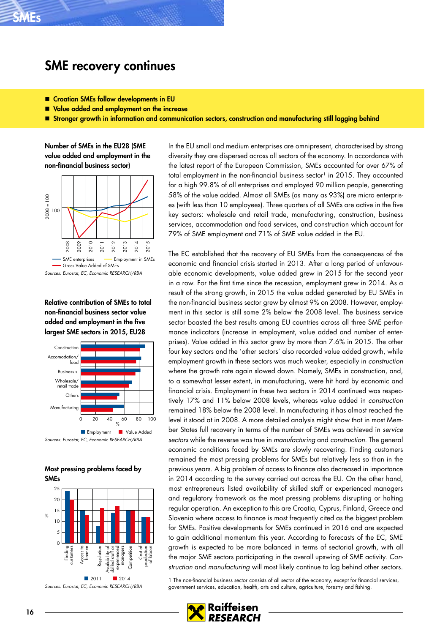# <span id="page-15-0"></span>SME recovery continues

- Croatian SMEs follow developments in EU
- Value added and employment on the increase
- Stronger growth in information and communication sectors, construction and manufacturing still lagging behind

Number of SMEs in the EU28 (SME value added and employment in the non-financial business sector)



Relative contribution of SMEs to total non-financial business sector value added and employment in the five largest SME sectors in 2015, EU28



Most pressing problems faced by SMEs



In the EU small and medium enterprises are omnipresent, characterised by strong diversity they are dispersed across all sectors of the economy. In accordance with the latest report of the European Commission, SMEs accounted for over 67% of total employment in the non-financial business sector<sup>1</sup> in 2015. They accounted for a high 99.8% of all enterprises and employed 90 million people, generating 58% of the value added. Almost all SMEs (as many as 93%) are micro enterprises (with less than 10 employees). Three quarters of all SMEs are active in the five key sectors: wholesale and retail trade, manufacturing, construction, business services, accommodation and food services, and construction which account for 79% of SME employment and 71% of SME value added in the EU.

The EC established that the recovery of EU SMEs from the consequences of the economic and financial crisis started in 2013. After a long period of unfavourable economic developments, value added grew in 2015 for the second year in a row. For the first time since the recession, employment grew in 2014. As a result of the strong growth, in 2015 the value added generated by EU SMEs in the non-financial business sector grew by almost 9% on 2008. However, employment in this sector is still some 2% below the 2008 level. The business service sector boasted the best results among EU countries across all three SME performance indicators (increase in employment, value added and number of enterprises). Value added in this sector grew by more than 7.6% in 2015. The other four key sectors and the 'other sectors' also recorded value added growth, while employment growth in these sectors was much weaker, especially in construction where the growth rate again slowed down. Namely, SMEs in construction, and, to a somewhat lesser extent, in manufacturing, were hit hard by economic and financial crisis. Employment in these two sectors in 2014 continued was respectively 17% and 11% below 2008 levels, whereas value added in construction remained 18% below the 2008 level. In manufacturing it has almost reached the level it stood at in 2008. A more detailed analysis might show that in most Member States full recovery in terms of the number of SMEs was achieved in service sectors while the reverse was true in manufacturing and construction. The general economic conditions faced by SMEs are slowly recovering. Finding customers remained the most pressing problems for SMEs but relatively less so than in the previous years. A big problem of access to finance also decreased in importance in 2014 according to the survey carried out across the EU. On the other hand, most entrepreneurs listed availability of skilled staff or experienced managers and regulatory framework as the most pressing problems disrupting or halting regular operation. An exception to this are Croatia, Cyprus, Finland, Greece and Slovenia where access to finance is most frequently cited as the biggest problem for SMEs. Positive developments for SMEs continued in 2016 and are expected to gain additional momentum this year. According to forecasts of the EC, SME growth is expected to be more balanced in terms of sectorial growth, with all the major SME sectors participating in the overall upswing of SME activity. Construction and manufacturing will most likely continue to lag behind other sectors.

1 The non-financial business sector consists of all sector of the economy, except for financial services, government services, education, health, arts and culture, agriculture, forestry and fishing.

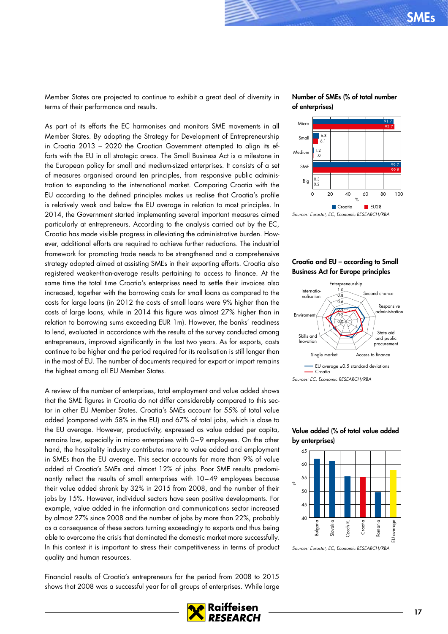Member States are projected to continue to exhibit a great deal of diversity in terms of their performance and results.

As part of its efforts the EC harmonises and monitors SME movements in all Member States. By adopting the Strategy for Development of Entrepreneurship in Croatia 2013 – 2020 the Croatian Government attempted to align its efforts with the EU in all strategic areas. The Small Business Act is a milestone in the European policy for small and medium-sized enterprises. It consists of a set of measures organised around ten principles, from responsive public administration to expanding to the international market. Comparing Croatia with the EU according to the defined principles makes us realise that Croatia's profile is relatively weak and below the EU average in relation to most principles. In 2014, the Government started implementing several important measures aimed particularly at entrepreneurs. According to the analysis carried out by the EC, Croatia has made visible progress in alleviating the administrative burden. However, additional efforts are required to achieve further reductions. The industrial framework for promoting trade needs to be strengthened and a comprehensive strategy adopted aimed at assisting SMEs in their exporting efforts. Croatia also registered weaker-than-average results pertaining to access to finance. At the same time the total time Croatia's enterprises need to settle their invoices also increased, together with the borrowing costs for small loans as compared to the costs for large loans (in 2012 the costs of small loans were 9% higher than the costs of large loans, while in 2014 this figure was almost 27% higher than in relation to borrowing sums exceeding EUR 1m). However, the banks' readiness to lend, evaluated in accordance with the results of the survey conducted among entrepreneurs, improved significantly in the last two years. As for exports, costs continue to be higher and the period required for its realisation is still longer than in the most of EU. The number of documents required for export or import remains the highest among all EU Member States.

A review of the number of enterprises, total employment and value added shows that the SME figures in Croatia do not differ considerably compared to this sector in other EU Member States. Croatia's SMEs account for 55% of total value added (compared with 58% in the EU) and 67% of total jobs, which is close to the EU average. However, productivity, expressed as value added per capita, remains low, especially in micro enterprises with 0–9 employees. On the other hand, the hospitality industry contributes more to value added and employment in SMEs than the EU average. This sector accounts for more than 9% of value added of Croatia's SMEs and almost 12% of jobs. Poor SME results predominantly reflect the results of small enterprises with 10–49 employees because their value added shrank by 32% in 2015 from 2008, and the number of their jobs by 15%. However, individual sectors have seen positive developments. For example, value added in the information and communications sector increased by almost 27% since 2008 and the number of jobs by more than 22%, probably as a consequence of these sectors turning exceedingly to exports and thus being able to overcome the crisis that dominated the domestic market more successfully. In this context it is important to stress their competitiveness in terms of product quality and human resources.

Financial results of Croatia's entrepreneurs for the period from 2008 to 2015 shows that 2008 was a successful year for all groups of enterprises. While large

### Number of SMEs (% of total number of enterprises)



### Croatia and EU – according to Small Business Act for Europe principles



### Value added (% of total value added by enterprises)



Sources: Eurostat, EC, Economic RESEARCH/RBA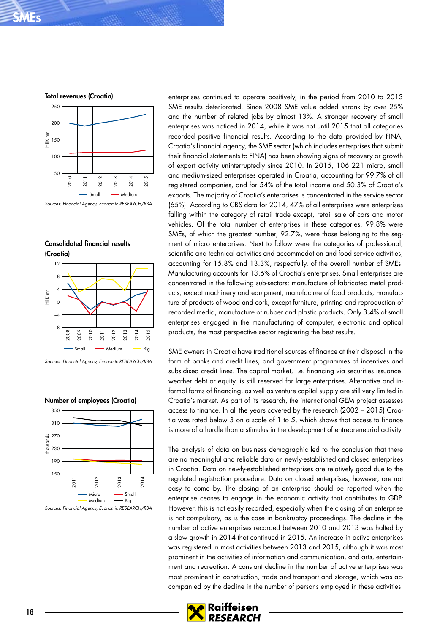



Consolidated financial results (Croatia)



Sources: Financial Agency, Economic RESEARCH/RBA



### Number of employees (Croatia)

Sources: Financial Agency, Economic RESEARCH/RBA

enterprises continued to operate positively, in the period from 2010 to 2013 SME results deteriorated. Since 2008 SME value added shrank by over 25% and the number of related jobs by almost 13%. A stronger recovery of small enterprises was noticed in 2014, while it was not until 2015 that all categories recorded positive financial results. According to the data provided by FINA, Croatia's financial agency, the SME sector (which includes enterprises that submit their financial statements to FINA) has been showing signs of recovery or growth of export activity uninterruptedly since 2010. In 2015, 106 221 micro, small and medium-sized enterprises operated in Croatia, accounting for 99.7% of all registered companies, and for 54% of the total income and 50.3% of Croatia's exports. The majority of Croatia's enterprises is concentrated in the service sector (65%). According to CBS data for 2014, 47% of all enterprises were enterprises falling within the category of retail trade except, retail sale of cars and motor vehicles. Of the total number of enterprises in these categories, 99.8% were SMEs, of which the greatest number, 92.7%, were those belonging to the segment of micro enterprises. Next to follow were the categories of professional, scientific and technical activities and accommodation and food service activities, accounting for 15.8% and 13.3%, respectfully, of the overall number of SMEs. Manufacturing accounts for 13.6% of Croatia's enterprises. Small enterprises are concentrated in the following sub-sectors: manufacture of fabricated metal products, except machinery and equipment, manufacture of food products, manufacture of products of wood and cork, except furniture, printing and reproduction of recorded media, manufacture of rubber and plastic products. Only 3.4% of small enterprises engaged in the manufacturing of computer, electronic and optical products, the most perspective sector registering the best results.

SME owners in Croatia have traditional sources of finance at their disposal in the form of banks and credit lines, and government programmes of incentives and subsidised credit lines. The capital market, i.e. financing via securities issuance, weather debt or equity, is still reserved for large enterprises. Alternative and informal forms of financing, as well as venture capital supply are still very limited in Croatia's market. As part of its research, the international GEM project assesses access to finance. In all the years covered by the research (2002 – 2015) Croatia was rated below 3 on a scale of 1 to 5, which shows that access to finance is more of a hurdle than a stimulus in the development of entrepreneurial activity.

The analysis of data on business demographic led to the conclusion that there are no meaningful and reliable data on newly-established and closed enterprises in Croatia. Data on newly-established enterprises are relatively good due to the regulated registration procedure. Data on closed enterprises, however, are not easy to come by. The closing of an enterprise should be reported when the enterprise ceases to engage in the economic activity that contributes to GDP. However, this is not easily recorded, especially when the closing of an enterprise is not compulsory, as is the case in bankruptcy proceedings. The decline in the number of active enterprises recorded between 2010 and 2013 was halted by a slow growth in 2014 that continued in 2015. An increase in active enterprises was registered in most activities between 2013 and 2015, although it was most prominent in the activities of information and communication, and arts, entertainment and recreation. A constant decline in the number of active enterprises was most prominent in construction, trade and transport and storage, which was accompanied by the decline in the number of persons employed in these activities.

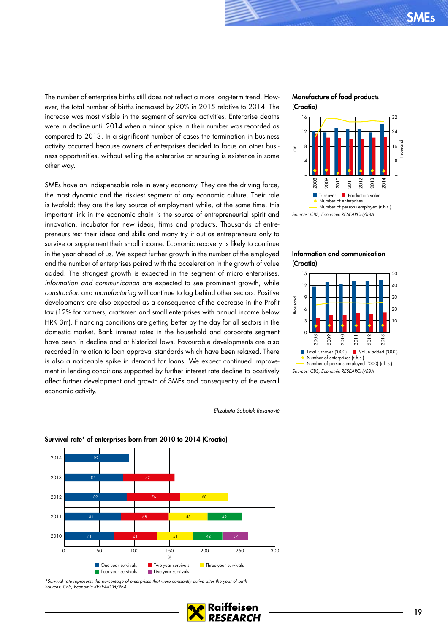The number of enterprise births still does not reflect a more long-term trend. However, the total number of births increased by 20% in 2015 relative to 2014. The increase was most visible in the segment of service activities. Enterprise deaths were in decline until 2014 when a minor spike in their number was recorded as compared to 2013. In a significant number of cases the termination in business activity occurred because owners of enterprises decided to focus on other business opportunities, without selling the enterprise or ensuring is existence in some other way.

SMEs have an indispensable role in every economy. They are the driving force, the most dynamic and the riskiest segment of any economic culture. Their role is twofold: they are the key source of employment while, at the same time, this important link in the economic chain is the source of entrepreneurial spirit and innovation, incubator for new ideas, firms and products. Thousands of entrepreneurs test their ideas and skills and many try it out as entrepreneurs only to survive or supplement their small income. Economic recovery is likely to continue in the year ahead of us. We expect further growth in the number of the employed and the number of enterprises paired with the acceleration in the growth of value added. The strongest growth is expected in the segment of micro enterprises. Information and communication are expected to see prominent growth, while construction and manufacturing will continue to lag behind other sectors. Positive developments are also expected as a consequence of the decrease in the Profit tax (12% for farmers, craftsmen and small enterprises with annual income below HRK 3m). Financing conditions are getting better by the day for all sectors in the domestic market. Bank interest rates in the household and corporate segment have been in decline and at historical lows. Favourable developments are also recorded in relation to loan approval standards which have been relaxed. There is also a noticeable spike in demand for loans. We expect continued improvement in lending conditions supported by further interest rate decline to positively affect further development and growth of SMEs and consequently of the overall economic activity.

### Manufacture of food products (Croatia)



### Information and communication (Croatia)



Elizabeta Sabolek Resanović

#### 81 89 84 92 68 76 73 55 68 49 2011 2012 2013 2014

51

0 50 100 150 200 300 %

**The-year survivals The-year survivals** Three-year survivals

### Survival rate\* of enterprises born from 2010 to 2014 (Croatia)

\*Survival rate represents the percentage of enterprises that were constantly active after the year of birth Sources: CBS, Economic RESEARCH/RBA

**Four-year survivals** Five-year survivals

61

71

2010



42

37

 $250$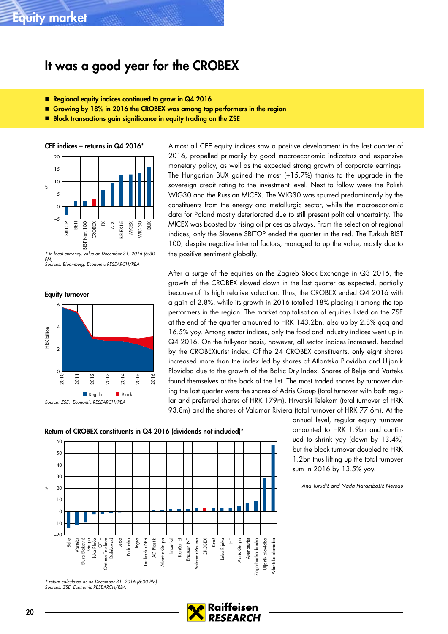# <span id="page-19-0"></span>It was a good year for the CROBEX

- Regional equity indices continued to grow in Q4 2016
- Growing by 18% in 2016 the CROBEX was among top performers in the region
- Block transactions gain significance in equity trading on the ZSE

CEE indices – returns in Q4 2016\*



\* in local currency, value on December 31, 2016 (6:30 PM) Sources: Bloomberg, Economic RESEARCH/RBA



Almost all CEE equity indices saw a positive development in the last quarter of 2016, propelled primarily by good macroeconomic indicators and expansive monetary policy, as well as the expected strong growth of corporate earnings. The Hungarian BUX gained the most (+15.7%) thanks to the upgrade in the sovereign credit rating to the investment level. Next to follow were the Polish WIG30 and the Russian MICEX. The WIG30 was spurred predominantly by the constituents from the energy and metallurgic sector, while the macroeconomic data for Poland mostly deteriorated due to still present political uncertainty. The MICEX was boosted by rising oil prices as always. From the selection of regional indices, only the Slovene SBITOP ended the quarter in the red. The Turkish BIST 100, despite negative internal factors, managed to up the value, mostly due to the positive sentiment globally.

After a surge of the equities on the Zagreb Stock Exchange in Q3 2016, the growth of the CROBEX slowed down in the last quarter as expected, partially because of its high relative valuation. Thus, the CROBEX ended Q4 2016 with a gain of 2.8%, while its growth in 2016 totalled 18% placing it among the top performers in the region. The market capitalisation of equities listed on the ZSE at the end of the quarter amounted to HRK 143.2bn, also up by 2.8% qoq and 16.5% yoy. Among sector indices, only the food and industry indices went up in Q4 2016. On the full-year basis, however, all sector indices increased, headed by the CROBEXturist index. Of the 24 CROBEX constituents, only eight shares increased more than the index led by shares of Atlantska Plovidba and Uljanik Plovidba due to the growth of the Baltic Dry Index. Shares of Belje and Varteks found themselves at the back of the list. The most traded shares by turnover during the last quarter were the shares of Adris Group (total turnover with both regular and preferred shares of HRK 179m), Hrvatski Telekom (total turnover of HRK 93.8m) and the shares of Valamar Riviera (total turnover of HRK 77.6m). At the

> annual level, regular equity turnover amounted to HRK 1.9bn and continued to shrink yoy (down by 13.4%) but the block turnover doubled to HRK 1.2bn thus lifting up the total turnover

Ana Turudić and Nada Harambašić Nereau

sum in 2016 by 13.5% yoy.

Return of CROBEX constituents in Q4 2016 (dividends not included)\*



\* return calculated as on December 31, 2016 (6:30 PM) Sources: ZSE, Economic RESEARCH/RB.

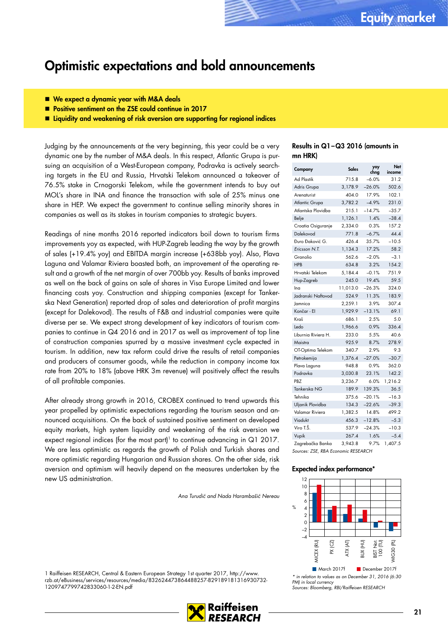# <span id="page-20-0"></span>Optimistic expectations and bold announcements

- We expect a dynamic year with M&A deals
- **Positive sentiment on the ZSE could continue in 2017**

**E** Liquidity and weakening of risk aversion are supporting for regional indices

Judging by the announcements at the very beginning, this year could be a very dynamic one by the number of M&A deals. In this respect, Atlantic Grupa is pursuing an acquisition of a West-European company, Podravka is actively searching targets in the EU and Russia, Hrvatski Telekom announced a takeover of 76.5% stake in Crnogorski Telekom, while the government intends to buy out MOL's share in INA and finance the transaction with sale of 25% minus one share in HEP. We expect the government to continue selling minority shares in companies as well as its stakes in tourism companies to strategic buyers.

Readings of nine months 2016 reported indicators boil down to tourism firms improvements yoy as expected, with HUP-Zagreb leading the way by the growth of sales (+19.4% yoy) and EBITDA margin increase (+638bb yoy). Also, Plava Laguna and Valamar Riviera boasted both, an improvement of the operating result and a growth of the net margin of over 700bb yoy. Results of banks improved as well on the back of gains on sale of shares in Visa Europe Limited and lower financing costs yoy. Construction and shipping companies (except for Tankerska Next Generation) reported drop of sales and deterioration of profit margins (except for Dalekovod). The results of F&B and industrial companies were quite diverse per se. We expect strong development of key indicators of tourism companies to continue in Q4 2016 and in 2017 as well as improvement of top line of construction companies spurred by a massive investment cycle expected in tourism. In addition, new tax reform could drive the results of retail companies and producers of consumer goods, while the reduction in company income tax rate from 20% to 18% (above HRK 3m revenue) will positively affect the results of all profitable companies.

After already strong growth in 2016, CROBEX continued to trend upwards this year propelled by optimistic expectations regarding the tourism season and announced acquisitions. On the back of sustained positive sentiment on developed equity markets, high system liquidity and weakening of the risk aversion we expect regional indices (for the most part)<sup>1</sup> to continue advancing in  $Q1$  2017. We are less optimistic as regards the growth of Polish and Turkish shares and more optimistic regarding Hungarian and Russian shares. On the other side, risk aversion and optimism will heavily depend on the measures undertaken by the new US administration.

Ana Turudić and Nada Harambašić Nereau

1 Raiffeisen RESEARCH, Central & Eastern European Strategy 1st quarter 2017, http://www. rzb.at/eBusiness/services/resources/media/832624473864488257-829189181316930732-





### Results in Q1–Q3 2016 (amounts in mn HRK)

| Company                             | Sales    | yoy<br>chng | Net<br>income |  |  |  |  |  |
|-------------------------------------|----------|-------------|---------------|--|--|--|--|--|
| <b>Ad Plastik</b>                   | 715.8    | $-6.0%$     | 31.2          |  |  |  |  |  |
| Adris Grupa                         | 3,178.9  | $-26.0%$    | 502.6         |  |  |  |  |  |
| Arenaturist                         | 404.0    | 17.9%       | 102.1         |  |  |  |  |  |
| <b>Atlantic Grupa</b>               | 3,782.2  | $-4.9%$     | 231.0         |  |  |  |  |  |
| Atlantska Plovidba                  | 215.1    | $-14.7%$    | $-35.7$       |  |  |  |  |  |
| Belje                               | 1,126.1  | 1.4%        | $-38.4$       |  |  |  |  |  |
| Croatia Osiguranje                  | 2,334.0  | 0.3%        | 157.2         |  |  |  |  |  |
| Dalekovod                           | 771.8    | $-6.7%$     | 44.4          |  |  |  |  |  |
| Đuro Đaković G.                     | 426.4    | 35.7%       | $-10.5$       |  |  |  |  |  |
| Ericsson N.T.                       | 1,134.3  | 17.2%       | 58.2          |  |  |  |  |  |
| Granolio                            | 562.6    | $-2.0%$     | $-3.1$        |  |  |  |  |  |
| <b>HPB</b>                          | 634.8    | 3.2%        | 154.2         |  |  |  |  |  |
| Hrvatski Telekom                    | 5,184.4  | $-0.1%$     | 751.9         |  |  |  |  |  |
| Hup-Zagreb                          | 245.0    | 19.4%       | 59.5          |  |  |  |  |  |
| Ina                                 | 11,013.0 | $-26.3%$    | 324.0         |  |  |  |  |  |
| Jadranski Naftovod                  | 524.9    | 11.3%       | 183.9         |  |  |  |  |  |
| Jamnica                             | 2,259.1  | 3.9%        | 307.4         |  |  |  |  |  |
| Končar - El                         | 1,929.9  | $-13.1%$    | 69.1          |  |  |  |  |  |
| Kraš                                | 686.1    | 2.5%        | 5.0           |  |  |  |  |  |
| Ledo                                | 1,966.6  | 0.9%        | 336.4         |  |  |  |  |  |
| Liburnia Riviera H.                 | 233.0    | 5.5%        | 40.6          |  |  |  |  |  |
| Maistra                             | 925.9    | 8.7%        | 278.9         |  |  |  |  |  |
| OT-Optima Telekom                   | 340.7    | 2.9%        | 9.3           |  |  |  |  |  |
| Petrokemija                         | 1,376.4  | $-27.0%$    | $-30.7$       |  |  |  |  |  |
| Plava Laguna                        | 948.8    | 0.9%        | 362.0         |  |  |  |  |  |
| Podravka                            | 3,030.8  | 23.1%       | 142.2         |  |  |  |  |  |
| PBZ                                 | 3,236.7  | 6.0%        | 1,216.2       |  |  |  |  |  |
| Tankerska NG                        | 189.9    | 139.3%      | 36.5          |  |  |  |  |  |
| Tehnika                             | 375.6    | $-20.1%$    | $-16.3$       |  |  |  |  |  |
| Uljanik Plovidba                    | 134.3    | $-22.6%$    | $-39.3$       |  |  |  |  |  |
| Valamar Riviera                     | 1,382.5  | 14.8%       | 499.2         |  |  |  |  |  |
| Viadukt                             | 456.3    | $-12.8%$    | $-5.3$        |  |  |  |  |  |
| Viro T.Š.                           | 537.9    | $-24.3%$    | $-10.3$       |  |  |  |  |  |
| Vupik                               | 267.4    | 1.6%        | $-5.4$        |  |  |  |  |  |
| Zagrebačka Banka                    | 3.943.8  | 9.7%        | 1,407.5       |  |  |  |  |  |
| Sources: ZSE, RBA Economic RESEARCH |          |             |               |  |  |  |  |  |

### Expected index performance\*



\* in relation to values as on December 31, 2016 (6:30 PMI in local currency Sources: Bloomberg, RBI/Raiffeisen RESEARCH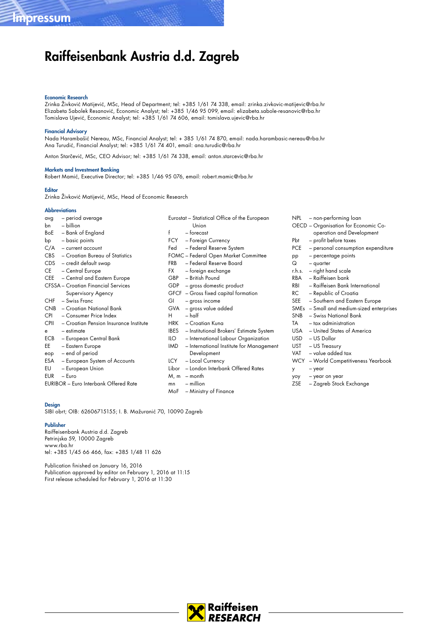# Raiffeisenbank Austria d.d. Zagreb

#### Economic Research

Zrinka Živković Matijević, MSc, Head of Department; tel: +385 1/61 74 338, email: zrinka.zivkovic-matijevic@rba.hr Elizabeta Sabolek Resanović, Economic Analyst; tel: +385 1/46 95 099, email: elizabeta.sabole-resanovic@rba.hr Tomislava Ujević, Economic Analyst; tel: +385 1/61 74 606, email: tomislava.ujevic@rba.hr

#### Financial Advisory

Nada Harambašić Nereau, MSc, Financial Analyst; tel: + 385 1/61 74 870, email: nada.harambasic-nereau@rba.hr Ana Turudić, Financial Analyst; tel: +385 1/61 74 401, email: ana.turudic@rba.hr

Anton Starčević, MSc, CEO Advisor; tel: +385 1/61 74 338, email: anton.starcevic@rba.hr

#### Markets and Investment Banking

Robert Mamić, Executive Director; tel: +385 1/46 95 076, email: robert.mamic@rba.hr

#### **Editor**

Zrinka Živković Matijević, MSc, Head of Economic Research

#### **Abbreviations**

| avg         | - period average                             |            | Eurostat - Statistical Office of the European |
|-------------|----------------------------------------------|------------|-----------------------------------------------|
| bn          | - billion                                    |            | Union                                         |
|             | BoE - Bank of England                        | f          | - forecast                                    |
| bp          | - basic points                               |            | FCY - Foreign Currency                        |
|             | $C/A$ – current account                      | Fed        | - Federal Reserve System                      |
|             | CBS - Croatian Bureau of Statistics          |            | FOMC - Federal Open Market Committee          |
|             | CDS - credit default swap                    | <b>FRB</b> | - Federal Reserve Board                       |
| CE          | - Central Europe                             | FX FX      | – foreign exchange                            |
| CEE         | - Central and Eastern Europe                 | GBP        | - British Pound                               |
|             | <b>CFSSA</b> – Croatian Financial Services   |            | GDP - gross domestic product                  |
|             | Supervisory Agency                           |            | GFCF - Gross fixed capital formation          |
| <b>CHF</b>  | - Swiss Franc                                | GI         | - gross income                                |
| CNB         | - Croatian National Bank                     | <b>GVA</b> | - gross value added                           |
| <b>CPI</b>  | - Consumer Price Index                       | H.         | $-$ half                                      |
| <b>CPII</b> | - Croatian Pension Insurance Institute       |            | HRK - Croatian Kuna                           |
| e           | - estimate                                   |            | IBES - Institutional Brokers' Estimate Syste  |
|             | <b>ECB</b> - European Central Bank           | ILO 1      | - International Labour Organization           |
| EE          | - Eastern Europe                             | IMD.       | - International Institute for Managen         |
| eop         | – end of period                              |            | Development                                   |
| ESA         | - European System of Accounts                | LCY.       | - Local Currency                              |
| EU          | - European Union                             | Libor      | - London Interbank Offered Rates              |
| EUR         | - Euro                                       |            | $M, m - month$                                |
|             | <b>EURIBOR</b> - Euro Interbank Offered Rate | mn         | $-$ million                                   |
|             |                                              | MoF        | - Ministry of Finance                         |

System nagement

Design SIBI obrt; OIB: 62606715155; I. B. Mažuranić 70, 10090 Zagreb

#### Publisher

Raiffeisenbank Austria d.d. Zagreb Petrinjska 59, 10000 Zagreb www.rba.hr tel: +385 1/45 66 466, fax: +385 1/48 11 626

Publication finished on January 16, 2016 Publication approved by editor on February 1, 2016 at 11:15 First release scheduled for February 1, 2016 at 11:30

- NPL non-performing loan OECD – Organisation for Economic Cooperation and Development Pbt – profit before taxes PCE – personal consumption expenditure pp – percentage points Q – quarter r.h.s. – right hand scale RBA – Raiffeisen bank RBI – Raiffeisen Bank International RC – Republic of Croatia<br>SEE – Southern and Easter – Southern and Eastern Europe SMEs – Small and medium-sized enterprises SNB – Swiss National Bank TA – tax administration USA – United States of America USD – US Dollar UST – US Treasury VAT – value added tax WCY – World Competitiveness Yearbook
	- y year
	- yoy year on year
	- ZSE Zagreb Stock Exchange

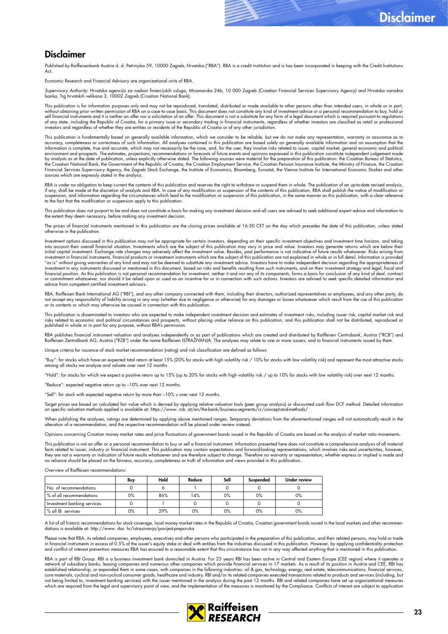# Disclaimer

Published by Raiffeisenbank Austria d. d. Petrinjska 59, 10000 Zagreb, Hrvatska ("RBA"). RBA is a credit institution and is has been incorporated in keeping with the Credit Institutions  $\Delta$ ct

Economic Research and Financial Advisory are organizational units of RBA.

Supervisory Authority: Hrvatska agencija za nadzor tinancijskih usluga, Miramarska 24b, 10 000 Zagreb (Croatian Financial Services Supervisory Agency) and Hrvatska narodna<br>banka, Trg hrvatskih velikana 3, 10002 Zagreb (Cro

This publication is for information purposes only and may not be reproduced, translated, distributed or made available to other persons other than intended users, in whole or in part, without obtaining prior written permission of RBA on a case to case basis. This document does not constitute any kind of investment advice or a personal recommendation to buy, hold or<br>sell financial instruments and it is n investors and regardless of whether they are entities or residents of the Republic of Croatia or of any other jurisdiction.

This publication is fundamentally based on generally available information, which we consider to be reliable, but we do not make any representation, warranty or assurance as to accuracy, completeness or correctness of such information. All analyses contained in this publication are based solely on generally available information and on assumption that the<br>information is complete, true and accurat environment and prospects. The estimates, projections, recommendations or forecasts of future events and opinions expressed in this publication constitute independent judgement made<br>by analysts as at the date of publicatio the Croatian National Bank, the Government of the Republic of Croatia, the Croatian Employment Service, the Croatian Pension Insurance Institute, the Ministry of Finance, the Croatian Financial Services Supervisory Agency, the Zagreb Stock Exchange, the Institute of Economics, Bloomberg, Eurostat, the Vienna Institute for International Economic Studies and other<br>sources which are expressly stated in the

RBA is under no obligation to keep current the contents of this publication and reserves the right to withdraw or suspend them in whole. The publication of an up-to-date revised analysis, if any, shall be made at the discretion of analysts and RBA. In case of any modification or suspension of the contents of this publication, RBA shall publish the notice of modification or suspension, and information regarding the circumstances which lead to the modification or suspension of this publication, in the same manner as this publication, with a clear reference<br>to the fact that the modification or

This publication does not purport to be and does not constitute a basis for making any investment decision and all users are advised to seek additional expert advice and information to the extent they deem necessary, before making any investment decision.

The prices of financial instruments mentioned in this publication are the closing prices available at 16:30 CET on the day which precedes the date of this publication, unless stated otherwise in the publication.

Investment options discussed in this publication may not be appropriate for certain investors, depending on their specific investment objectives and investment time horizon, and taking into account their overall financial situation. Investments which are the subject of this publication may vary in price and value. Investors may generate returns which are below their<br>initial capital investment. Exchange r investment in tinancial instruments, tinancial products or investment instruments which are the subject of this publication are not explained in whole or in tull detail. Intormation is provided<br>"as is" without giving warra investment in any instruments discussed or mentioned in this document, based on risks and benefits resulting from such instruments, and on their investment strategy and legal, fiscal and financial position. As this publication is not personal recommendation for investment, neither it and nor any of its components, forms a basis for conclusion of any kind of deal, contract<br>or commitment whatsoever, nor shou advice from competent certified investment advisors.

RBA, Raiffeisen Bank International AG ("RBI"), and any other company connected with them, including their directors, authorized representatives or employees, and any other party, do<br>not accept any responsibility of liabili

This publication is disseminated to investors who are expected to make independent investment decision and estimates of investment risks, including issuer risk, capital market risk and risks related to economic and political circumstances and prospects, without placing undue reliance on this publication, and this publication shall not be distributed, reproduced or<br>published in whole or in part for any pu

RBA publishes financial instrument valuation and analyses independently or as part of publications which are created and distributed by Raitfeisen Centrobank, Austria ("RCB") and<br>Raiffeisen Zentralbank AG, Austria ("RZB")

criteria for issuance of stock market recommendation (rating) and risk classification are defined as follows:

"Buy": for stocks which have an expected total return at least 15% (20% for stocks with high volatility risk / 10% for stocks with low volatility risk) and represent the most attractive stocks<br>among all stocks we analyze a

"Hold": for stocks for which we expect a positive return up to 15% (up to 20% for stocks with high volatility risk / up to 10% for stocks with low volatility risk) over next 12 months.

"Reduce": expected negative return up to –10% over next 12 months.

"Sell": for stock with expected negative return by more than –10% u over next 12 months.

Target prices are based on calculated fair value which is derived by applying relative valuation tools (peer group analysis) or discounted cash flow DCF method. Detailed information<br>on specific valuation methods applied is

When publishing the analyses, ratings are determined by applying above mentioned ranges. Temporary deviations from the aforementioned ranges will not automatically result in the<br>alteration of a recommendation, and the resp

Opinions concerning Croatian money market rates and price fluctuations of government bonds issued in the Republic of Croatia are based on the analysis of market ratio movements.

This publication is not an offer or a personal recommendation to buy or sell a financial instrument. Information presented here does not constitute a comprehensive analysis of all material<br>thats related to issuer, industry

Overview of Raiffeisen recommendations:

|                             | Buy | Hold | Reduce | Sell  | Suspended | Under review |
|-----------------------------|-----|------|--------|-------|-----------|--------------|
| No. of recommendations      |     |      |        |       |           |              |
| % of all recommendations ». | 0%  | 86%  | 14%    | $0\%$ | 0%        | 0%           |
| Investment banking services |     |      |        |       |           |              |
| % all IB services           | 0%  | 29%  | 0%     | $0\%$ | 0%        | 0%           |

A list of all historic recommendations for stock coverage, local money market rates in the Republic of Croatia, Croatian government bonds issued in the local markets and other recommendations is available at: http://www. rba. hr/istrazivanja/povijest-preporuka

Please note that RBA, its related companies, employees, executives and other persons who participated in the preparation of this publication, and their related persons, may hold or trade<br>in financial instruments in excess and conflict of interest prevention measures RBA has ensured to a reasonable extent that this circumstance has not in any way affected anything that is mentioned in this publication.

RBA is part of RBI Group. RBI is a business investment bank domiciled in Austria. For 25 years RBI has been active in Central and Eastern Europe (CEE region) where it operates a<br>network of subsidiary banks, leasing compani established relationship, or expanded them in some cases, with companies in the following industries: oil & gas, technology, energy, real estate, telecommunications, financial services, core materials, cyclical and non-cyclical consumer goods, healthcare and industry. RBI and/or its related companies executed transactions related to products and services (including, but<br>not being limited to, investment ba